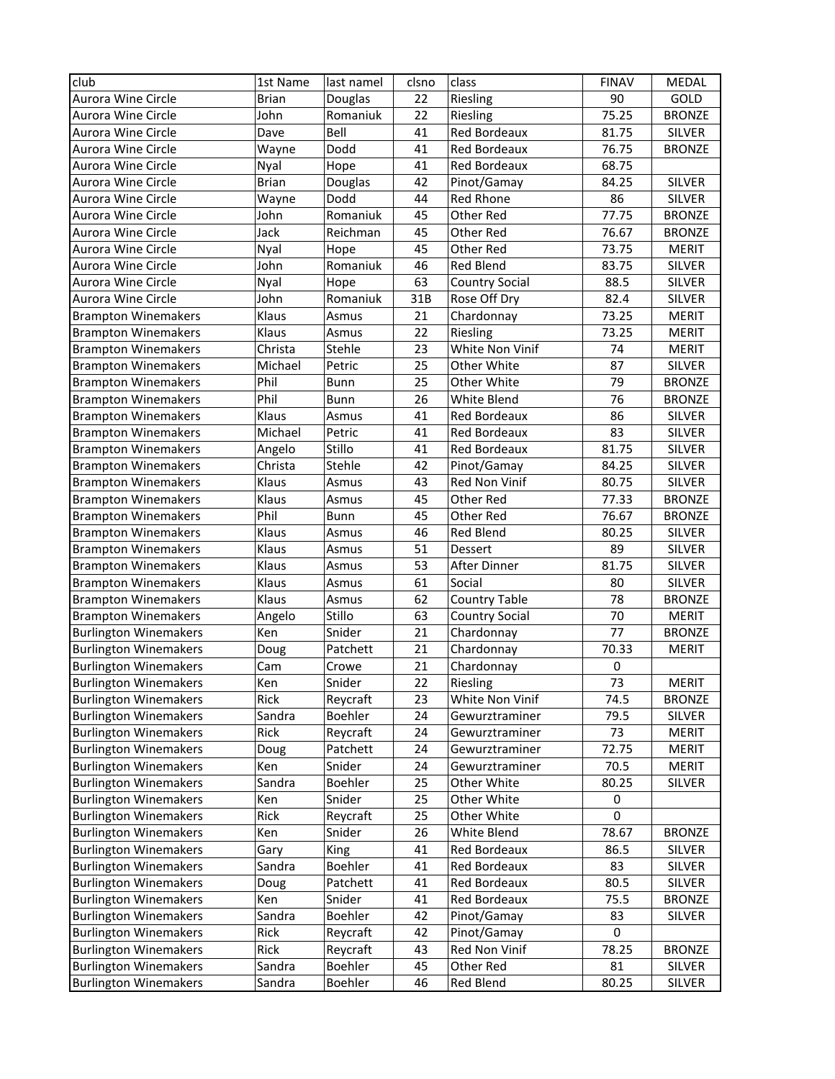| club                         | 1st Name     | last namel | clsno | class                 | <b>FINAV</b> | MEDAL         |
|------------------------------|--------------|------------|-------|-----------------------|--------------|---------------|
| Aurora Wine Circle           | <b>Brian</b> | Douglas    | 22    | Riesling              | 90           | GOLD          |
| Aurora Wine Circle           | John         | Romaniuk   | 22    | Riesling              | 75.25        | <b>BRONZE</b> |
| Aurora Wine Circle           | Dave         | Bell       | 41    | <b>Red Bordeaux</b>   | 81.75        | <b>SILVER</b> |
| Aurora Wine Circle           | Wayne        | Dodd       | 41    | <b>Red Bordeaux</b>   | 76.75        | <b>BRONZE</b> |
| Aurora Wine Circle           | Nyal         | Hope       | 41    | Red Bordeaux          | 68.75        |               |
| Aurora Wine Circle           | <b>Brian</b> | Douglas    | 42    | Pinot/Gamay           | 84.25        | <b>SILVER</b> |
| Aurora Wine Circle           | Wayne        | Dodd       | 44    | <b>Red Rhone</b>      | 86           | <b>SILVER</b> |
| Aurora Wine Circle           | John         | Romaniuk   | 45    | Other Red             | 77.75        | <b>BRONZE</b> |
| Aurora Wine Circle           | Jack         | Reichman   | 45    | Other Red             | 76.67        | <b>BRONZE</b> |
| Aurora Wine Circle           | Nyal         | Hope       | 45    | Other Red             | 73.75        | <b>MERIT</b>  |
| Aurora Wine Circle           | John         | Romaniuk   | 46    | <b>Red Blend</b>      | 83.75        | <b>SILVER</b> |
| Aurora Wine Circle           | Nyal         | Hope       | 63    | <b>Country Social</b> | 88.5         | <b>SILVER</b> |
| Aurora Wine Circle           | John         | Romaniuk   | 31B   | Rose Off Dry          | 82.4         | SILVER        |
| <b>Brampton Winemakers</b>   | Klaus        | Asmus      | 21    | Chardonnay            | 73.25        | <b>MERIT</b>  |
| <b>Brampton Winemakers</b>   | Klaus        | Asmus      | 22    | Riesling              | 73.25        | <b>MERIT</b>  |
| <b>Brampton Winemakers</b>   | Christa      | Stehle     | 23    | White Non Vinif       | 74           | <b>MERIT</b>  |
| <b>Brampton Winemakers</b>   | Michael      | Petric     | 25    | Other White           | 87           | SILVER        |
| <b>Brampton Winemakers</b>   | Phil         | Bunn       | 25    | Other White           | 79           | <b>BRONZE</b> |
| <b>Brampton Winemakers</b>   | Phil         | Bunn       | 26    | White Blend           | 76           | <b>BRONZE</b> |
| <b>Brampton Winemakers</b>   | Klaus        | Asmus      | 41    | Red Bordeaux          | 86           | <b>SILVER</b> |
| <b>Brampton Winemakers</b>   | Michael      | Petric     | 41    | Red Bordeaux          | 83           | <b>SILVER</b> |
| <b>Brampton Winemakers</b>   | Angelo       | Stillo     | 41    | Red Bordeaux          | 81.75        | <b>SILVER</b> |
| <b>Brampton Winemakers</b>   | Christa      | Stehle     | 42    | Pinot/Gamay           | 84.25        | <b>SILVER</b> |
| <b>Brampton Winemakers</b>   | Klaus        | Asmus      | 43    | Red Non Vinif         | 80.75        | <b>SILVER</b> |
| <b>Brampton Winemakers</b>   | Klaus        | Asmus      | 45    | Other Red             | 77.33        | <b>BRONZE</b> |
| <b>Brampton Winemakers</b>   | Phil         | Bunn       | 45    | Other Red             | 76.67        | <b>BRONZE</b> |
| <b>Brampton Winemakers</b>   | Klaus        | Asmus      | 46    | <b>Red Blend</b>      | 80.25        | <b>SILVER</b> |
| <b>Brampton Winemakers</b>   | Klaus        | Asmus      | 51    | Dessert               | 89           | <b>SILVER</b> |
| <b>Brampton Winemakers</b>   | Klaus        | Asmus      | 53    | After Dinner          | 81.75        | <b>SILVER</b> |
| <b>Brampton Winemakers</b>   | Klaus        | Asmus      | 61    | Social                | 80           | <b>SILVER</b> |
| <b>Brampton Winemakers</b>   | Klaus        | Asmus      | 62    | <b>Country Table</b>  | 78           | <b>BRONZE</b> |
| <b>Brampton Winemakers</b>   | Angelo       | Stillo     | 63    | <b>Country Social</b> | 70           | <b>MERIT</b>  |
| <b>Burlington Winemakers</b> | Ken          | Snider     | 21    | Chardonnay            | 77           | <b>BRONZE</b> |
| <b>Burlington Winemakers</b> | Doug         | Patchett   | 21    | Chardonnay            | 70.33        | <b>MERIT</b>  |
| <b>Burlington Winemakers</b> | Cam          | Crowe      | 21    | Chardonnay            | 0            |               |
| <b>Burlington Winemakers</b> | <b>Ken</b>   | Snider     | 22    | Riesling              | 73           | <b>MERIT</b>  |
| <b>Burlington Winemakers</b> | Rick         | Reycraft   | 23    | White Non Vinif       | 74.5         | <b>BRONZE</b> |
| <b>Burlington Winemakers</b> | Sandra       | Boehler    | 24    | Gewurztraminer        | 79.5         | <b>SILVER</b> |
| <b>Burlington Winemakers</b> | Rick         | Reycraft   | 24    | Gewurztraminer        | 73           | <b>MERIT</b>  |
| <b>Burlington Winemakers</b> | Doug         | Patchett   | 24    | Gewurztraminer        | 72.75        | <b>MERIT</b>  |
| <b>Burlington Winemakers</b> | Ken          | Snider     | 24    | Gewurztraminer        | 70.5         | <b>MERIT</b>  |
| <b>Burlington Winemakers</b> | Sandra       | Boehler    | 25    | Other White           | 80.25        | <b>SILVER</b> |
| <b>Burlington Winemakers</b> | Ken          | Snider     | 25    | Other White           | 0            |               |
| <b>Burlington Winemakers</b> | Rick         | Reycraft   | 25    | Other White           | 0            |               |
| <b>Burlington Winemakers</b> | Ken          | Snider     | 26    | White Blend           | 78.67        | <b>BRONZE</b> |
| <b>Burlington Winemakers</b> | Gary         | King       | 41    | Red Bordeaux          | 86.5         | SILVER        |
| <b>Burlington Winemakers</b> | Sandra       | Boehler    | 41    | Red Bordeaux          | 83           | <b>SILVER</b> |
| <b>Burlington Winemakers</b> | Doug         | Patchett   | 41    | Red Bordeaux          | 80.5         | <b>SILVER</b> |
| <b>Burlington Winemakers</b> | Ken          | Snider     | 41    | Red Bordeaux          | 75.5         | <b>BRONZE</b> |
| <b>Burlington Winemakers</b> | Sandra       | Boehler    | 42    | Pinot/Gamay           | 83           | <b>SILVER</b> |
| <b>Burlington Winemakers</b> | Rick         | Reycraft   | 42    | Pinot/Gamay           | $\mathbf 0$  |               |
| <b>Burlington Winemakers</b> | Rick         | Reycraft   | 43    | Red Non Vinif         | 78.25        | <b>BRONZE</b> |
| <b>Burlington Winemakers</b> | Sandra       | Boehler    | 45    | Other Red             | 81           | <b>SILVER</b> |
| <b>Burlington Winemakers</b> | Sandra       | Boehler    | 46    | Red Blend             | 80.25        | <b>SILVER</b> |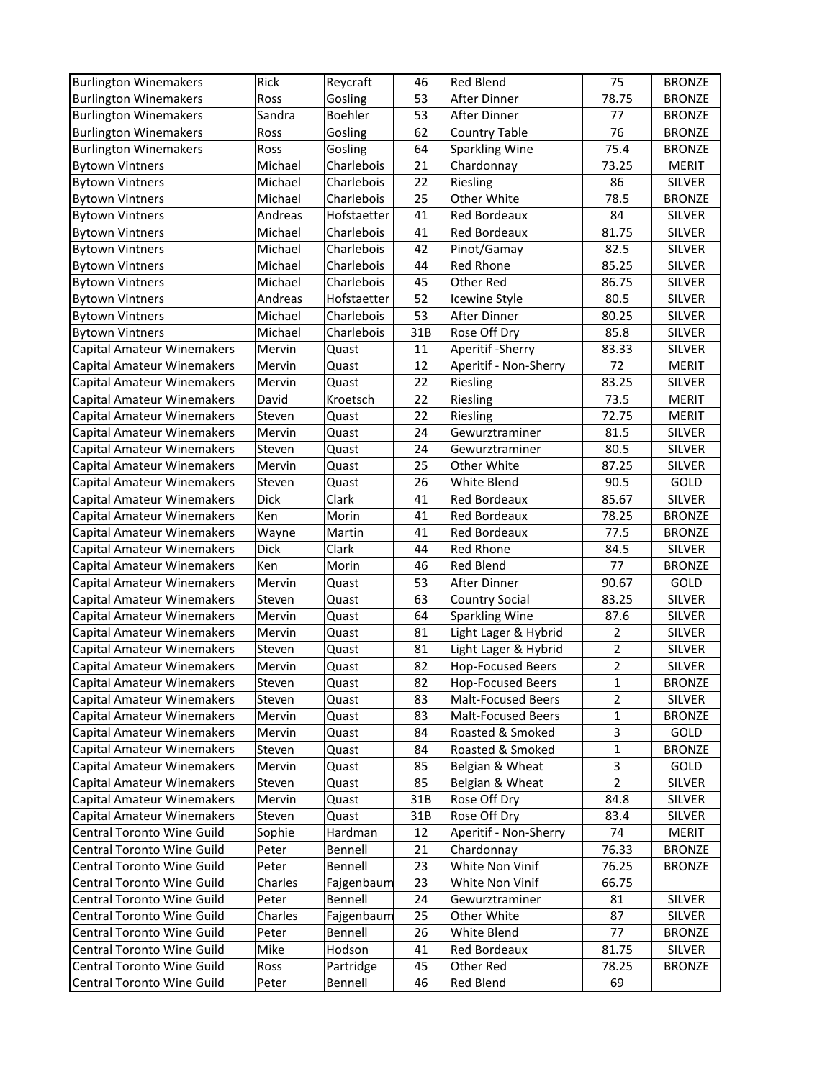| <b>Burlington Winemakers</b>      | Rick    | Reycraft             | 46  | <b>Red Blend</b>          | 75             | <b>BRONZE</b> |
|-----------------------------------|---------|----------------------|-----|---------------------------|----------------|---------------|
| <b>Burlington Winemakers</b>      | Ross    | Gosling              | 53  | After Dinner              | 78.75          | <b>BRONZE</b> |
| <b>Burlington Winemakers</b>      | Sandra  | Boehler              | 53  | After Dinner              | 77             | <b>BRONZE</b> |
| <b>Burlington Winemakers</b>      | Ross    | Gosling              | 62  | <b>Country Table</b>      | 76             | <b>BRONZE</b> |
| <b>Burlington Winemakers</b>      | Ross    | Gosling              | 64  | Sparkling Wine            | 75.4           | <b>BRONZE</b> |
| <b>Bytown Vintners</b>            | Michael | Charlebois           | 21  | Chardonnay                | 73.25          | <b>MERIT</b>  |
| <b>Bytown Vintners</b>            | Michael | Charlebois           | 22  | Riesling                  | 86             | SILVER        |
| <b>Bytown Vintners</b>            | Michael | Charlebois           | 25  | Other White               | 78.5           | <b>BRONZE</b> |
| <b>Bytown Vintners</b>            | Andreas | Hofstaetter          | 41  | Red Bordeaux              | 84             | <b>SILVER</b> |
| <b>Bytown Vintners</b>            | Michael | Charlebois           | 41  | Red Bordeaux              | 81.75          | <b>SILVER</b> |
| <b>Bytown Vintners</b>            | Michael | Charlebois           | 42  | Pinot/Gamay               | 82.5           | <b>SILVER</b> |
| <b>Bytown Vintners</b>            | Michael | Charlebois           | 44  | Red Rhone                 | 85.25          | SILVER        |
| <b>Bytown Vintners</b>            | Michael | Charlebois           | 45  | Other Red                 | 86.75          | SILVER        |
| <b>Bytown Vintners</b>            | Andreas | Hofstaetter          | 52  | Icewine Style             | 80.5           | <b>SILVER</b> |
| <b>Bytown Vintners</b>            | Michael | Charlebois           | 53  | After Dinner              | 80.25          | SILVER        |
| <b>Bytown Vintners</b>            | Michael | Charlebois           | 31B | Rose Off Dry              | 85.8           | SILVER        |
| <b>Capital Amateur Winemakers</b> | Mervin  | Quast                | 11  | Aperitif - Sherry         | 83.33          | <b>SILVER</b> |
| Capital Amateur Winemakers        | Mervin  | Quast                | 12  | Aperitif - Non-Sherry     | 72             | <b>MERIT</b>  |
| Capital Amateur Winemakers        | Mervin  | Quast                | 22  | Riesling                  | 83.25          | <b>SILVER</b> |
| Capital Amateur Winemakers        | David   | Kroetsch             | 22  | Riesling                  | 73.5           | <b>MERIT</b>  |
| Capital Amateur Winemakers        | Steven  | Quast                | 22  | Riesling                  | 72.75          | <b>MERIT</b>  |
| Capital Amateur Winemakers        | Mervin  | Quast                | 24  | Gewurztraminer            | 81.5           | <b>SILVER</b> |
| Capital Amateur Winemakers        | Steven  | Quast                | 24  | Gewurztraminer            | 80.5           | <b>SILVER</b> |
| <b>Capital Amateur Winemakers</b> | Mervin  | Quast                | 25  | Other White               | 87.25          | <b>SILVER</b> |
| Capital Amateur Winemakers        | Steven  | Quast                | 26  | White Blend               | 90.5           | GOLD          |
| Capital Amateur Winemakers        | Dick    | Clark                | 41  | Red Bordeaux              | 85.67          | SILVER        |
| Capital Amateur Winemakers        | Ken     | Morin                | 41  | Red Bordeaux              | 78.25          | <b>BRONZE</b> |
| Capital Amateur Winemakers        | Wayne   | Martin               | 41  | Red Bordeaux              | 77.5           | <b>BRONZE</b> |
| <b>Capital Amateur Winemakers</b> | Dick    | Clark                | 44  | Red Rhone                 | 84.5           | <b>SILVER</b> |
| Capital Amateur Winemakers        | Ken     | Morin                | 46  | Red Blend                 | 77             | <b>BRONZE</b> |
| <b>Capital Amateur Winemakers</b> | Mervin  | Quast                | 53  | After Dinner              | 90.67          | GOLD          |
| <b>Capital Amateur Winemakers</b> | Steven  | Quast                | 63  | <b>Country Social</b>     | 83.25          | <b>SILVER</b> |
| <b>Capital Amateur Winemakers</b> | Mervin  | Quast                | 64  | <b>Sparkling Wine</b>     | 87.6           | <b>SILVER</b> |
| <b>Capital Amateur Winemakers</b> | Mervin  | Quast                | 81  | Light Lager & Hybrid      | $\overline{2}$ | <b>SILVER</b> |
| Capital Amateur Winemakers        | Steven  | Quast                | 81  | Light Lager & Hybrid      | $\overline{2}$ | <b>SILVER</b> |
| Capital Amateur Winemakers        | Mervin  | Quast                | 82  | <b>Hop-Focused Beers</b>  | $\overline{2}$ | <b>SILVER</b> |
| Capital Amateur Winemakers        | Steven  | Quast                | 82  | <b>Hop-Focused Beers</b>  | $\mathbf 1$    | <b>BRONZE</b> |
| <b>Capital Amateur Winemakers</b> | Steven  | Quast                | 83  | Malt-Focused Beers        | $\overline{2}$ | SILVER        |
| <b>Capital Amateur Winemakers</b> | Mervin  | Quast                | 83  | <b>Malt-Focused Beers</b> | 1              | <b>BRONZE</b> |
| Capital Amateur Winemakers        | Mervin  | Quast                | 84  | Roasted & Smoked          | 3              | GOLD          |
| Capital Amateur Winemakers        | Steven  | Quast                | 84  | Roasted & Smoked          | 1              | <b>BRONZE</b> |
| Capital Amateur Winemakers        | Mervin  | Quast                | 85  | Belgian & Wheat           | 3              | GOLD          |
| <b>Capital Amateur Winemakers</b> | Steven  | Quast                | 85  | Belgian & Wheat           | 2              | SILVER        |
| <b>Capital Amateur Winemakers</b> | Mervin  | Quast                | 31B | Rose Off Dry              | 84.8           | SILVER        |
| <b>Capital Amateur Winemakers</b> | Steven  | Quast                | 31B | Rose Off Dry              | 83.4           | SILVER        |
| Central Toronto Wine Guild        | Sophie  | Hardman              | 12  | Aperitif - Non-Sherry     | 74             | <b>MERIT</b>  |
| Central Toronto Wine Guild        | Peter   | Bennell              | 21  | Chardonnay                | 76.33          | <b>BRONZE</b> |
| Central Toronto Wine Guild        | Peter   | Bennell              | 23  | White Non Vinif           | 76.25          | <b>BRONZE</b> |
| Central Toronto Wine Guild        | Charles | Fajgenbaum           | 23  | White Non Vinif           | 66.75          |               |
| Central Toronto Wine Guild        | Peter   | Bennell              | 24  | Gewurztraminer            | 81             | <b>SILVER</b> |
| Central Toronto Wine Guild        | Charles | Fajgenbaum           | 25  | Other White               | 87             | <b>SILVER</b> |
| Central Toronto Wine Guild        | Peter   | Bennell              | 26  | White Blend               | 77             | <b>BRONZE</b> |
| Central Toronto Wine Guild        | Mike    | Hodson               | 41  | Red Bordeaux              | 81.75          | SILVER        |
| Central Toronto Wine Guild        | Ross    |                      | 45  | Other Red                 | 78.25          |               |
|                                   |         | Partridge<br>Bennell | 46  |                           | 69             | <b>BRONZE</b> |
| Central Toronto Wine Guild        | Peter   |                      |     | Red Blend                 |                |               |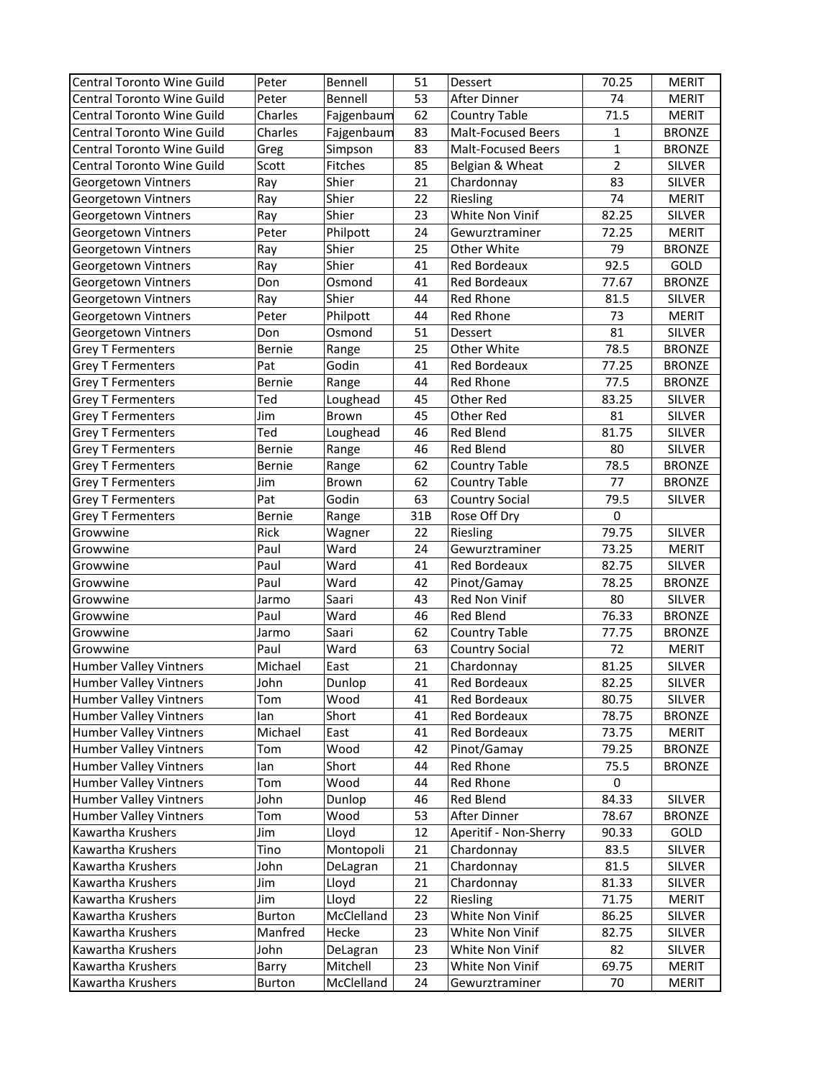| Central Toronto Wine Guild        | Peter         | Bennell                | 51       | Dessert                   | 70.25          | <b>MERIT</b>           |
|-----------------------------------|---------------|------------------------|----------|---------------------------|----------------|------------------------|
| Central Toronto Wine Guild        | Peter         | Bennell                | 53       | After Dinner              | 74             | <b>MERIT</b>           |
| <b>Central Toronto Wine Guild</b> | Charles       | Fajgenbaum             | 62       | <b>Country Table</b>      | 71.5           | <b>MERIT</b>           |
| Central Toronto Wine Guild        | Charles       | Fajgenbaum             | 83       | <b>Malt-Focused Beers</b> | $\mathbf{1}$   | <b>BRONZE</b>          |
| Central Toronto Wine Guild        | Greg          | Simpson                | 83       | <b>Malt-Focused Beers</b> | $\mathbf{1}$   | <b>BRONZE</b>          |
| Central Toronto Wine Guild        | Scott         | Fitches                | 85       | Belgian & Wheat           | $\overline{2}$ | <b>SILVER</b>          |
| Georgetown Vintners               | Ray           | Shier                  | 21       | Chardonnay                | 83             | <b>SILVER</b>          |
| Georgetown Vintners               | Ray           | Shier                  | 22       | Riesling                  | 74             | <b>MERIT</b>           |
| Georgetown Vintners               | Ray           | Shier                  | 23       | White Non Vinif           | 82.25          | <b>SILVER</b>          |
| Georgetown Vintners               | Peter         | Philpott               | 24       | Gewurztraminer            | 72.25          | <b>MERIT</b>           |
| Georgetown Vintners               | Ray           | Shier                  | 25       | Other White               | 79             | <b>BRONZE</b>          |
| Georgetown Vintners               | Ray           | Shier                  | 41       | Red Bordeaux              | 92.5           | GOLD                   |
| Georgetown Vintners               | Don           | Osmond                 | 41       | Red Bordeaux              | 77.67          | <b>BRONZE</b>          |
| Georgetown Vintners               | Ray           | Shier                  | 44       | Red Rhone                 | 81.5           | SILVER                 |
| Georgetown Vintners               | Peter         | Philpott               | 44       | Red Rhone                 | 73             | <b>MERIT</b>           |
| Georgetown Vintners               | Don           | Osmond                 | 51       | Dessert                   | 81             | SILVER                 |
| <b>Grey T Fermenters</b>          | Bernie        | Range                  | 25       | Other White               | 78.5           | <b>BRONZE</b>          |
| <b>Grey T Fermenters</b>          | Pat           | Godin                  | 41       | Red Bordeaux              | 77.25          | <b>BRONZE</b>          |
| <b>Grey T Fermenters</b>          | Bernie        | Range                  | 44       | Red Rhone                 | 77.5           | <b>BRONZE</b>          |
| <b>Grey T Fermenters</b>          | Ted           | Loughead               | 45       | Other Red                 | 83.25          | SILVER                 |
| <b>Grey T Fermenters</b>          | Jim           | Brown                  | 45       | Other Red                 | 81             | SILVER                 |
| <b>Grey T Fermenters</b>          | Ted           | Loughead               | 46       | Red Blend                 | 81.75          | SILVER                 |
| <b>Grey T Fermenters</b>          | Bernie        | Range                  | 46       | Red Blend                 | 80             | SILVER                 |
| <b>Grey T Fermenters</b>          | Bernie        | Range                  | 62       | <b>Country Table</b>      | 78.5           | <b>BRONZE</b>          |
| <b>Grey T Fermenters</b>          | Jim           | Brown                  | 62       | <b>Country Table</b>      | 77             | <b>BRONZE</b>          |
| <b>Grey T Fermenters</b>          | Pat           | Godin                  | 63       | <b>Country Social</b>     | 79.5           | <b>SILVER</b>          |
| <b>Grey T Fermenters</b>          | Bernie        | Range                  | 31B      | Rose Off Dry              | $\mathbf 0$    |                        |
| Growwine                          | Rick          | Wagner                 | 22       | Riesling                  | 79.75          | <b>SILVER</b>          |
| Growwine                          | Paul          | Ward                   | 24       | Gewurztraminer            | 73.25          | <b>MERIT</b>           |
| Growwine                          | Paul          | Ward                   | 41       | Red Bordeaux              | 82.75          | <b>SILVER</b>          |
| Growwine                          | Paul          | Ward                   | 42       | Pinot/Gamay               | 78.25          | <b>BRONZE</b>          |
| Growwine                          | Jarmo         | Saari                  | 43       | Red Non Vinif             | 80             | <b>SILVER</b>          |
| Growwine                          | Paul          | Ward                   | 46       | Red Blend                 | 76.33          | <b>BRONZE</b>          |
| Growwine                          | Jarmo         | Saari                  | 62       | <b>Country Table</b>      | 77.75          | <b>BRONZE</b>          |
| Growwine                          | Paul          | Ward                   | 63       | <b>Country Social</b>     | 72             | <b>MERIT</b>           |
| <b>Humber Valley Vintners</b>     | Michael       | East                   | 21       | Chardonnay                | 81.25          | SILVER                 |
| Humber Valley Vintners            | John          | Dunlop                 | 41       | Red Bordeaux              | 82.25          | SILVER                 |
| <b>Humber Valley Vintners</b>     | Tom           | Wood                   | 41       | Red Bordeaux              | 80.75          | <b>SILVER</b>          |
| <b>Humber Valley Vintners</b>     | lan           | Short                  | 41       | Red Bordeaux              | 78.75          | <b>BRONZE</b>          |
| <b>Humber Valley Vintners</b>     | Michael       | East                   | 41       | Red Bordeaux              | 73.75          | <b>MERIT</b>           |
| <b>Humber Valley Vintners</b>     | Tom           | Wood                   | 42       | Pinot/Gamay               | 79.25          | <b>BRONZE</b>          |
| <b>Humber Valley Vintners</b>     | lan           | Short                  | 44       | Red Rhone                 | 75.5           | <b>BRONZE</b>          |
| <b>Humber Valley Vintners</b>     | Tom           | Wood                   | 44       | Red Rhone                 | 0              |                        |
| <b>Humber Valley Vintners</b>     | John          | Dunlop                 | 46       | Red Blend                 | 84.33          | SILVER                 |
| <b>Humber Valley Vintners</b>     | Tom           | Wood                   | 53       | After Dinner              | 78.67          | <b>BRONZE</b>          |
| Kawartha Krushers                 | Jim           | Lloyd                  | 12       | Aperitif - Non-Sherry     | 90.33          | GOLD                   |
| Kawartha Krushers                 | Tino          | Montopoli              | 21       | Chardonnay                | 83.5           | SILVER                 |
| Kawartha Krushers                 | John          | DeLagran               | 21       | Chardonnay                | 81.5           | <b>SILVER</b>          |
| Kawartha Krushers                 | Jim           |                        |          |                           |                |                        |
| Kawartha Krushers                 | Jim           | Lloyd<br>Lloyd         | 21<br>22 | Chardonnay<br>Riesling    | 81.33<br>71.75 | <b>SILVER</b><br>MERIT |
|                                   |               | McClelland             |          | White Non Vinif           |                |                        |
| Kawartha Krushers                 | <b>Burton</b> |                        | 23       |                           | 86.25          | SILVER                 |
| Kawartha Krushers                 | Manfred       | Hecke                  | 23       | White Non Vinif           | 82.75          | <b>SILVER</b>          |
| Kawartha Krushers                 | John          | DeLagran               | 23       | White Non Vinif           | 82             | SILVER                 |
| Kawartha Krushers                 | Barry         | Mitchell<br>McClelland | 23       | White Non Vinif           | 69.75<br>70    | <b>MERIT</b>           |
| Kawartha Krushers                 | Burton        |                        | 24       | Gewurztraminer            |                | <b>MERIT</b>           |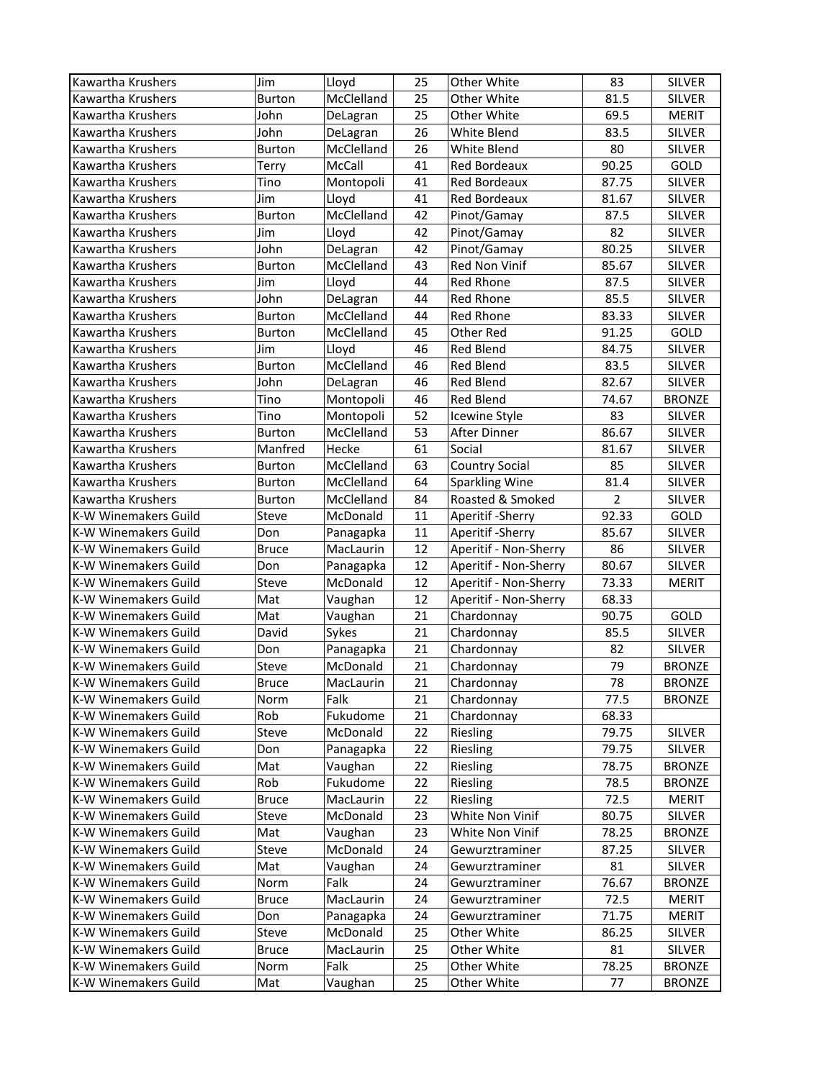| Kawartha Krushers           | Jim           | Lloyd                 | 25 | Other White           | 83             | <b>SILVER</b> |
|-----------------------------|---------------|-----------------------|----|-----------------------|----------------|---------------|
| Kawartha Krushers           | Burton        | McClelland            | 25 | Other White           | 81.5           | <b>SILVER</b> |
| Kawartha Krushers           | John          | DeLagran              | 25 | Other White           | 69.5           | <b>MERIT</b>  |
| Kawartha Krushers           | John          | DeLagran              | 26 | White Blend           | 83.5           | SILVER        |
| Kawartha Krushers           | Burton        | McClelland            | 26 | White Blend           | 80             | SILVER        |
| Kawartha Krushers           | Terry         | McCall                | 41 | Red Bordeaux          | 90.25          | GOLD          |
| Kawartha Krushers           | Tino          | Montopoli             | 41 | Red Bordeaux          | 87.75          | <b>SILVER</b> |
| Kawartha Krushers           | Jim           | Lloyd                 | 41 | Red Bordeaux          | 81.67          | <b>SILVER</b> |
| Kawartha Krushers           | <b>Burton</b> | McClelland            | 42 | Pinot/Gamay           | 87.5           | <b>SILVER</b> |
| Kawartha Krushers           | Jim           | Lloyd                 | 42 | Pinot/Gamay           | 82             | <b>SILVER</b> |
| Kawartha Krushers           | John          | DeLagran              | 42 | Pinot/Gamay           | 80.25          | <b>SILVER</b> |
| Kawartha Krushers           | <b>Burton</b> | McClelland            | 43 | Red Non Vinif         | 85.67          | SILVER        |
| Kawartha Krushers           | Jim           | Lloyd                 | 44 | Red Rhone             | 87.5           | SILVER        |
| Kawartha Krushers           | John          | DeLagran              | 44 | Red Rhone             | 85.5           | SILVER        |
| Kawartha Krushers           | <b>Burton</b> | McClelland            | 44 | Red Rhone             | 83.33          | SILVER        |
| Kawartha Krushers           | Burton        | McClelland            | 45 | Other Red             | 91.25          | GOLD          |
| Kawartha Krushers           | Jim           | Lloyd                 | 46 | Red Blend             | 84.75          | SILVER        |
| Kawartha Krushers           | <b>Burton</b> | McClelland            | 46 | Red Blend             | 83.5           | SILVER        |
| Kawartha Krushers           | John          |                       | 46 | <b>Red Blend</b>      | 82.67          | SILVER        |
|                             |               | DeLagran<br>Montopoli | 46 | Red Blend             | 74.67          | <b>BRONZE</b> |
| Kawartha Krushers           | Tino          |                       |    |                       |                |               |
| Kawartha Krushers           | Tino          | Montopoli             | 52 | <b>Icewine Style</b>  | 83             | <b>SILVER</b> |
| Kawartha Krushers           | Burton        | McClelland            | 53 | After Dinner          | 86.67          | SILVER        |
| Kawartha Krushers           | Manfred       | Hecke                 | 61 | Social                | 81.67          | SILVER        |
| Kawartha Krushers           | <b>Burton</b> | McClelland            | 63 | <b>Country Social</b> | 85             | SILVER        |
| Kawartha Krushers           | <b>Burton</b> | McClelland            | 64 | <b>Sparkling Wine</b> | 81.4           | SILVER        |
| Kawartha Krushers           | <b>Burton</b> | McClelland            | 84 | Roasted & Smoked      | $\overline{2}$ | SILVER        |
| K-W Winemakers Guild        | Steve         | McDonald              | 11 | Aperitif - Sherry     | 92.33          | GOLD          |
| K-W Winemakers Guild        | Don           | Panagapka             | 11 | Aperitif - Sherry     | 85.67          | SILVER        |
| K-W Winemakers Guild        | <b>Bruce</b>  | MacLaurin             | 12 | Aperitif - Non-Sherry | 86             | <b>SILVER</b> |
| K-W Winemakers Guild        | Don           | Panagapka             | 12 | Aperitif - Non-Sherry | 80.67          | <b>SILVER</b> |
| K-W Winemakers Guild        | Steve         | McDonald              | 12 | Aperitif - Non-Sherry | 73.33          | <b>MERIT</b>  |
| K-W Winemakers Guild        | Mat           | Vaughan               | 12 | Aperitif - Non-Sherry | 68.33          |               |
| K-W Winemakers Guild        | Mat           | Vaughan               | 21 | Chardonnay            | 90.75          | GOLD          |
| <b>K-W Winemakers Guild</b> | David         | Sykes                 | 21 | Chardonnay            | 85.5           | <b>SILVER</b> |
| K-W Winemakers Guild        | Don           | Panagapka             | 21 | Chardonnay            | 82             | <b>SILVER</b> |
| K-W Winemakers Guild        | Steve         | McDonald              | 21 | Chardonnay            | 79             | <b>BRONZE</b> |
| K-W Winemakers Guild        | <b>Bruce</b>  | MacLaurin             | 21 | Chardonnay            | 78             | <b>BRONZE</b> |
| K-W Winemakers Guild        | Norm          | Falk                  | 21 | Chardonnay            | 77.5           | <b>BRONZE</b> |
| K-W Winemakers Guild        | Rob           | Fukudome              | 21 | Chardonnay            | 68.33          |               |
| K-W Winemakers Guild        | Steve         | McDonald              | 22 | Riesling              | 79.75          | SILVER        |
| K-W Winemakers Guild        | Don           | Panagapka             | 22 | Riesling              | 79.75          | SILVER        |
| K-W Winemakers Guild        | Mat           | Vaughan               | 22 | Riesling              | 78.75          | <b>BRONZE</b> |
| K-W Winemakers Guild        | Rob           | Fukudome              | 22 | Riesling              | 78.5           | <b>BRONZE</b> |
| K-W Winemakers Guild        | <b>Bruce</b>  | MacLaurin             | 22 | Riesling              | 72.5           | <b>MERIT</b>  |
| K-W Winemakers Guild        | Steve         | McDonald              | 23 | White Non Vinif       | 80.75          | <b>SILVER</b> |
| <b>K-W Winemakers Guild</b> | Mat           | Vaughan               | 23 | White Non Vinif       | 78.25          | <b>BRONZE</b> |
| K-W Winemakers Guild        | Steve         | McDonald              | 24 | Gewurztraminer        | 87.25          | <b>SILVER</b> |
| K-W Winemakers Guild        | Mat           | Vaughan               | 24 | Gewurztraminer        | 81             | <b>SILVER</b> |
| K-W Winemakers Guild        | Norm          | Falk                  | 24 | Gewurztraminer        | 76.67          | <b>BRONZE</b> |
| K-W Winemakers Guild        | <b>Bruce</b>  | MacLaurin             | 24 | Gewurztraminer        | 72.5           | MERIT         |
| K-W Winemakers Guild        | Don           | Panagapka             | 24 | Gewurztraminer        | 71.75          | <b>MERIT</b>  |
| <b>K-W Winemakers Guild</b> | Steve         | McDonald              | 25 | Other White           | 86.25          | SILVER        |
| <b>K-W Winemakers Guild</b> | <b>Bruce</b>  | MacLaurin             | 25 | Other White           | 81             | SILVER        |
| <b>K-W Winemakers Guild</b> | Norm          | Falk                  | 25 | Other White           | 78.25          | <b>BRONZE</b> |
| K-W Winemakers Guild        | Mat           | Vaughan               | 25 | Other White           | 77             | <b>BRONZE</b> |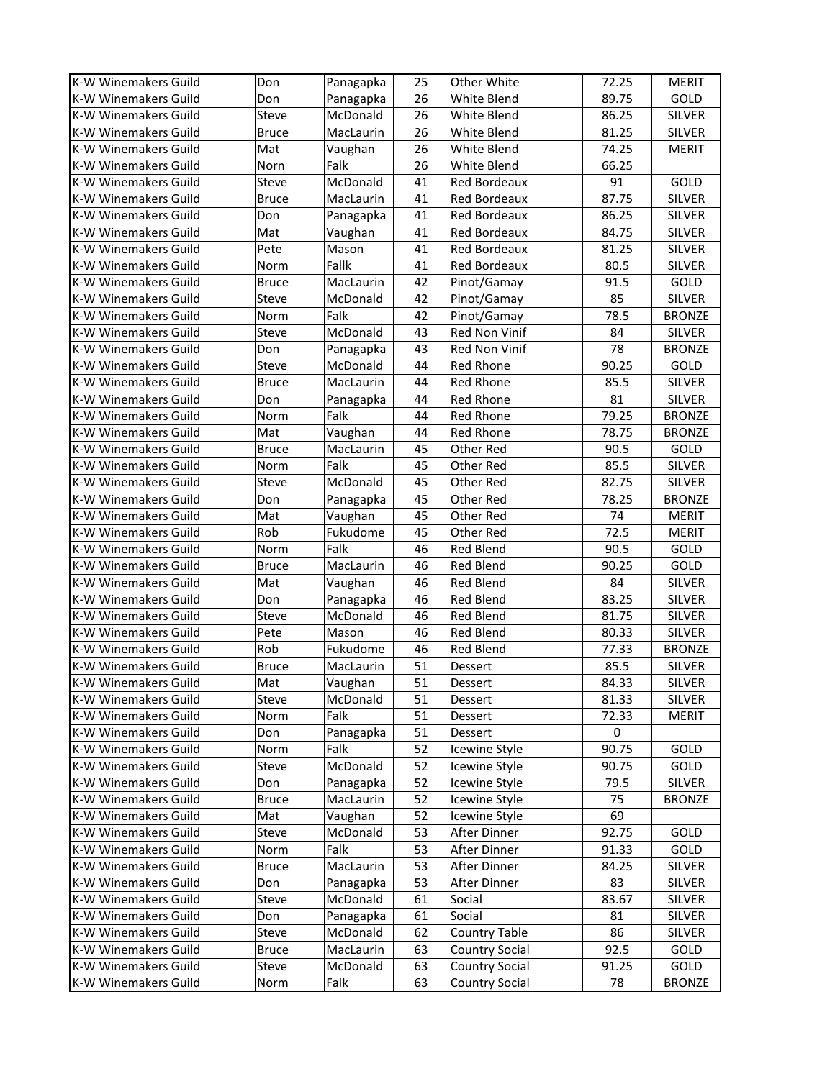| K-W Winemakers Guild                         | Don          | Panagapka           | 25       | Other White                   | 72.25        | <b>MERIT</b>  |
|----------------------------------------------|--------------|---------------------|----------|-------------------------------|--------------|---------------|
| K-W Winemakers Guild                         | Don          | Panagapka           | 26       | White Blend                   | 89.75        | GOLD          |
| K-W Winemakers Guild                         | Steve        | McDonald            | 26       | White Blend                   | 86.25        | <b>SILVER</b> |
| K-W Winemakers Guild                         | <b>Bruce</b> | MacLaurin           | 26       | White Blend                   | 81.25        | SILVER        |
| K-W Winemakers Guild                         | Mat          | Vaughan             | 26       | White Blend                   | 74.25        | <b>MERIT</b>  |
| <b>K-W Winemakers Guild</b>                  | Norn         | Falk                | 26       | White Blend                   | 66.25        |               |
| K-W Winemakers Guild                         | Steve        | McDonald            | 41       | <b>Red Bordeaux</b>           | 91           | GOLD          |
| <b>K-W Winemakers Guild</b>                  | <b>Bruce</b> | MacLaurin           | 41       | <b>Red Bordeaux</b>           | 87.75        | <b>SILVER</b> |
| K-W Winemakers Guild                         | Don          | Panagapka           | 41       | <b>Red Bordeaux</b>           | 86.25        | <b>SILVER</b> |
| K-W Winemakers Guild                         | Mat          | Vaughan             | 41       | Red Bordeaux                  | 84.75        | <b>SILVER</b> |
| K-W Winemakers Guild                         | Pete         | Mason               | 41       | <b>Red Bordeaux</b>           | 81.25        | <b>SILVER</b> |
| K-W Winemakers Guild                         | Norm         | Fallk               | 41       | <b>Red Bordeaux</b>           | 80.5         | <b>SILVER</b> |
| K-W Winemakers Guild                         | <b>Bruce</b> | MacLaurin           | 42       | Pinot/Gamay                   | 91.5         | GOLD          |
| K-W Winemakers Guild                         | Steve        | McDonald            | 42       | Pinot/Gamay                   | 85           | <b>SILVER</b> |
| K-W Winemakers Guild                         | Norm         | Falk                | 42       | Pinot/Gamay                   | 78.5         | <b>BRONZE</b> |
| K-W Winemakers Guild                         | Steve        | McDonald            | 43       | Red Non Vinif                 | 84           | SILVER        |
| K-W Winemakers Guild                         | Don          | Panagapka           | 43       | Red Non Vinif                 | 78           | <b>BRONZE</b> |
| K-W Winemakers Guild                         | Steve        | McDonald            | 44       | Red Rhone                     | 90.25        | GOLD          |
| K-W Winemakers Guild                         | <b>Bruce</b> | MacLaurin           | 44       | Red Rhone                     | 85.5         | <b>SILVER</b> |
| K-W Winemakers Guild                         | Don          | Panagapka           | 44       | <b>Red Rhone</b>              | 81           | <b>SILVER</b> |
| K-W Winemakers Guild                         | Norm         | Falk                | 44       | Red Rhone                     | 79.25        | <b>BRONZE</b> |
| K-W Winemakers Guild                         | Mat          | Vaughan             | 44       | Red Rhone                     | 78.75        | <b>BRONZE</b> |
| K-W Winemakers Guild                         | <b>Bruce</b> | MacLaurin           | 45       | Other Red                     | 90.5         | GOLD          |
| K-W Winemakers Guild                         | Norm         | Falk                | 45       | Other Red                     | 85.5         | <b>SILVER</b> |
| K-W Winemakers Guild                         | Steve        | McDonald            | 45       | Other Red                     | 82.75        | SILVER        |
| K-W Winemakers Guild                         | Don          |                     |          |                               | 78.25        | <b>BRONZE</b> |
| K-W Winemakers Guild                         | Mat          | Panagapka           | 45<br>45 | Other Red<br>Other Red        | 74           | <b>MERIT</b>  |
|                                              | Rob          | Vaughan<br>Fukudome |          |                               |              |               |
| K-W Winemakers Guild                         |              | Falk                | 45       | Other Red                     | 72.5<br>90.5 | <b>MERIT</b>  |
| K-W Winemakers Guild                         | Norm         |                     | 46       | Red Blend<br><b>Red Blend</b> |              | GOLD<br>GOLD  |
| K-W Winemakers Guild                         | <b>Bruce</b> | MacLaurin           | 46<br>46 | <b>Red Blend</b>              | 90.25<br>84  |               |
| K-W Winemakers Guild                         | Mat          | Vaughan             |          |                               |              | <b>SILVER</b> |
| K-W Winemakers Guild                         | Don          | Panagapka           | 46       | <b>Red Blend</b><br>Red Blend | 83.25        | <b>SILVER</b> |
| K-W Winemakers Guild<br>K-W Winemakers Guild | Steve        | McDonald            | 46<br>46 | <b>Red Blend</b>              | 81.75        | <b>SILVER</b> |
|                                              | Pete         | Mason               |          |                               | 80.33        | <b>SILVER</b> |
| K-W Winemakers Guild                         | Rob          | Fukudome            | 46       | Red Blend                     | 77.33        | <b>BRONZE</b> |
| K-W Winemakers Guild                         | <b>Bruce</b> | MacLaurin           | 51       | Dessert                       | 85.5         | <b>SILVER</b> |
| K-W Winemakers Guild                         | Mat          | Vaughan             | 51       | Dessert                       | 84.33        | <b>SILVER</b> |
| K-W Winemakers Guild                         | Steve        | McDonald            | 51       | Dessert                       | 81.33        | <b>SILVER</b> |
| K-W Winemakers Guild                         | Norm         | Falk                | 51       | Dessert                       | 72.33        | <b>MERIT</b>  |
| K-W Winemakers Guild                         | Don          | Panagapka           | 51       | Dessert                       | $\mathbf 0$  |               |
| K-W Winemakers Guild                         | Norm         | Falk                | 52       | Icewine Style                 | 90.75        | GOLD          |
| K-W Winemakers Guild                         | Steve        | McDonald            | 52       | Icewine Style                 | 90.75        | GOLD          |
| <b>K-W Winemakers Guild</b>                  | Don          | Panagapka           | 52       | <b>Icewine Style</b>          | 79.5         | SILVER        |
| K-W Winemakers Guild                         | <b>Bruce</b> | MacLaurin           | 52       | Icewine Style                 | 75           | <b>BRONZE</b> |
| K-W Winemakers Guild                         | Mat          | Vaughan             | 52       | Icewine Style                 | 69           |               |
| K-W Winemakers Guild                         | Steve        | McDonald            | 53       | After Dinner                  | 92.75        | GOLD          |
| K-W Winemakers Guild                         | Norm         | Falk                | 53       | After Dinner                  | 91.33        | GOLD          |
| K-W Winemakers Guild                         | <b>Bruce</b> | MacLaurin           | 53       | After Dinner                  | 84.25        | <b>SILVER</b> |
| K-W Winemakers Guild                         | Don          | Panagapka           | 53       | After Dinner                  | 83           | <b>SILVER</b> |
| K-W Winemakers Guild                         | Steve        | McDonald            | 61       | Social                        | 83.67        | SILVER        |
| K-W Winemakers Guild                         | Don          | Panagapka           | 61       | Social                        | 81           | <b>SILVER</b> |
| K-W Winemakers Guild                         | Steve        | McDonald            | 62       | <b>Country Table</b>          | 86           | <b>SILVER</b> |
| K-W Winemakers Guild                         | <b>Bruce</b> | MacLaurin           | 63       | <b>Country Social</b>         | 92.5         | GOLD          |
| <b>K-W Winemakers Guild</b>                  | Steve        | McDonald            | 63       | <b>Country Social</b>         | 91.25        | GOLD          |
| K-W Winemakers Guild                         | Norm         | Falk                | 63       | Country Social                | 78           | <b>BRONZE</b> |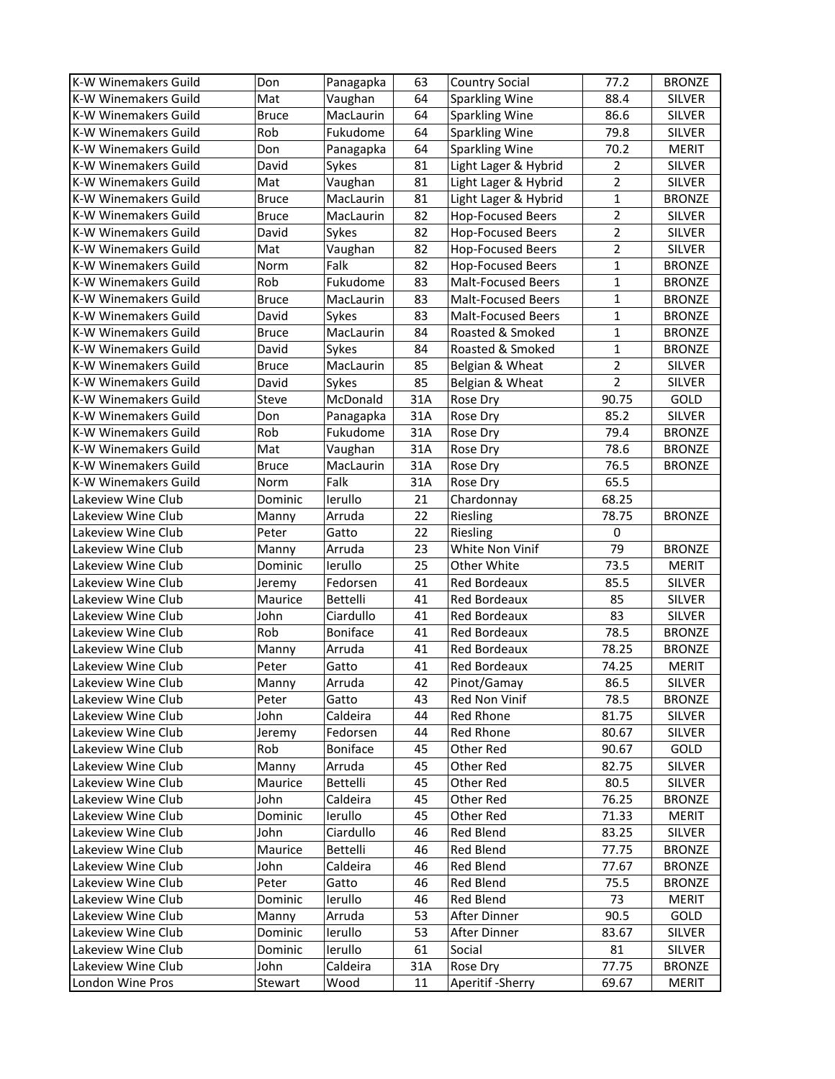| K-W Winemakers Guild        | Don          | Panagapka       | 63  | <b>Country Social</b>     | 77.2           | <b>BRONZE</b> |
|-----------------------------|--------------|-----------------|-----|---------------------------|----------------|---------------|
| <b>K-W Winemakers Guild</b> | Mat          | Vaughan         | 64  | <b>Sparkling Wine</b>     | 88.4           | <b>SILVER</b> |
| <b>K-W Winemakers Guild</b> | <b>Bruce</b> | MacLaurin       | 64  | <b>Sparkling Wine</b>     | 86.6           | <b>SILVER</b> |
| <b>K-W Winemakers Guild</b> | Rob          | Fukudome        | 64  | <b>Sparkling Wine</b>     | 79.8           | <b>SILVER</b> |
| <b>K-W Winemakers Guild</b> | Don          | Panagapka       | 64  | <b>Sparkling Wine</b>     | 70.2           | <b>MERIT</b>  |
| K-W Winemakers Guild        | David        | Sykes           | 81  | Light Lager & Hybrid      | $\overline{2}$ | <b>SILVER</b> |
| <b>K-W Winemakers Guild</b> | Mat          | Vaughan         | 81  | Light Lager & Hybrid      | $\overline{2}$ | <b>SILVER</b> |
| K-W Winemakers Guild        | <b>Bruce</b> | MacLaurin       | 81  | Light Lager & Hybrid      | $\mathbf{1}$   | <b>BRONZE</b> |
| <b>K-W Winemakers Guild</b> | <b>Bruce</b> | MacLaurin       | 82  | <b>Hop-Focused Beers</b>  | $\overline{2}$ | SILVER        |
| K-W Winemakers Guild        | David        | Sykes           | 82  | <b>Hop-Focused Beers</b>  | $\overline{2}$ | SILVER        |
| K-W Winemakers Guild        | Mat          | Vaughan         | 82  | Hop-Focused Beers         | $\overline{2}$ | SILVER        |
| <b>K-W Winemakers Guild</b> | Norm         | Falk            | 82  | Hop-Focused Beers         | $\mathbf{1}$   | <b>BRONZE</b> |
| K-W Winemakers Guild        | Rob          | Fukudome        | 83  | <b>Malt-Focused Beers</b> | $\mathbf{1}$   | <b>BRONZE</b> |
| K-W Winemakers Guild        | <b>Bruce</b> | MacLaurin       | 83  | <b>Malt-Focused Beers</b> | $\mathbf{1}$   | <b>BRONZE</b> |
| K-W Winemakers Guild        | David        | Sykes           | 83  | <b>Malt-Focused Beers</b> | $\mathbf{1}$   | <b>BRONZE</b> |
| <b>K-W Winemakers Guild</b> | <b>Bruce</b> | MacLaurin       | 84  | Roasted & Smoked          | $\mathbf{1}$   | <b>BRONZE</b> |
| K-W Winemakers Guild        | David        | Sykes           | 84  | Roasted & Smoked          | $\mathbf{1}$   | <b>BRONZE</b> |
| K-W Winemakers Guild        | <b>Bruce</b> | MacLaurin       | 85  | Belgian & Wheat           | $\overline{2}$ | <b>SILVER</b> |
| K-W Winemakers Guild        | David        | Sykes           | 85  | Belgian & Wheat           | $\overline{2}$ | SILVER        |
| <b>K-W Winemakers Guild</b> | Steve        | McDonald        | 31A | Rose Dry                  | 90.75          | GOLD          |
| <b>K-W Winemakers Guild</b> | Don          | Panagapka       | 31A | Rose Dry                  | 85.2           | SILVER        |
| K-W Winemakers Guild        | Rob          | Fukudome        | 31A | Rose Dry                  | 79.4           | <b>BRONZE</b> |
| K-W Winemakers Guild        | Mat          | Vaughan         | 31A | Rose Dry                  | 78.6           | <b>BRONZE</b> |
| <b>K-W Winemakers Guild</b> | <b>Bruce</b> | MacLaurin       | 31A | Rose Dry                  | 76.5           | <b>BRONZE</b> |
| K-W Winemakers Guild        | Norm         | Falk            | 31A | Rose Dry                  | 65.5           |               |
| Lakeview Wine Club          | Dominic      | lerullo         | 21  | Chardonnay                | 68.25          |               |
| Lakeview Wine Club          | Manny        | Arruda          | 22  | Riesling                  | 78.75          | <b>BRONZE</b> |
| Lakeview Wine Club          | Peter        | Gatto           | 22  | Riesling                  | $\mathbf 0$    |               |
| Lakeview Wine Club          | Manny        | Arruda          | 23  | White Non Vinif           | 79             | <b>BRONZE</b> |
| Lakeview Wine Club          | Dominic      | lerullo         | 25  | Other White               | 73.5           | <b>MERIT</b>  |
| Lakeview Wine Club          | Jeremy       | Fedorsen        | 41  | Red Bordeaux              | 85.5           | <b>SILVER</b> |
| Lakeview Wine Club          | Maurice      | Bettelli        | 41  | Red Bordeaux              | 85             | SILVER        |
| Lakeview Wine Club          | John         | Ciardullo       | 41  | Red Bordeaux              | 83             | <b>SILVER</b> |
| Lakeview Wine Club          | Rob          | <b>Boniface</b> | 41  | Red Bordeaux              | 78.5           | <b>BRONZE</b> |
| Lakeview Wine Club          | Manny        | Arruda          | 41  | Red Bordeaux              | 78.25          | <b>BRONZE</b> |
| Lakeview Wine Club          | Peter        | Gatto           | 41  | Red Bordeaux              | 74.25          | <b>MERIT</b>  |
| Lakeview Wine Club          | Manny        | Arruda          | 42  | Pinot/Gamay               | 86.5           | <b>SILVER</b> |
| Lakeview Wine Club          | Peter        | Gatto           | 43  | Red Non Vinif             | 78.5           | <b>BRONZE</b> |
| Lakeview Wine Club          | John         | Caldeira        | 44  | Red Rhone                 | 81.75          | SILVER        |
| Lakeview Wine Club          | Jeremy       | Fedorsen        | 44  | Red Rhone                 | 80.67          | <b>SILVER</b> |
| Lakeview Wine Club          | Rob          | <b>Boniface</b> | 45  | Other Red                 | 90.67          | GOLD          |
| Lakeview Wine Club          | Manny        | Arruda          | 45  | Other Red                 | 82.75          | <b>SILVER</b> |
| Lakeview Wine Club          | Maurice      | Bettelli        | 45  | Other Red                 | 80.5           | <b>SILVER</b> |
| Lakeview Wine Club          | John         | Caldeira        | 45  | Other Red                 | 76.25          | <b>BRONZE</b> |
| Lakeview Wine Club          | Dominic      | lerullo         | 45  | Other Red                 | 71.33          | MERIT         |
| Lakeview Wine Club          | John         | Ciardullo       | 46  | Red Blend                 | 83.25          | SILVER        |
| Lakeview Wine Club          | Maurice      | Bettelli        | 46  | Red Blend                 | 77.75          | <b>BRONZE</b> |
| Lakeview Wine Club          | John         | Caldeira        | 46  | Red Blend                 | 77.67          | <b>BRONZE</b> |
| Lakeview Wine Club          | Peter        | Gatto           | 46  | Red Blend                 | 75.5           | <b>BRONZE</b> |
| Lakeview Wine Club          | Dominic      | lerullo         | 46  | Red Blend                 | 73             | MERIT         |
| Lakeview Wine Club          | Manny        | Arruda          | 53  | After Dinner              | 90.5           | GOLD          |
| Lakeview Wine Club          | Dominic      | lerullo         | 53  | After Dinner              | 83.67          | <b>SILVER</b> |
| Lakeview Wine Club          | Dominic      | lerullo         | 61  | Social                    | 81             | <b>SILVER</b> |
| Lakeview Wine Club          | John         | Caldeira        | 31A | Rose Dry                  | 77.75          | <b>BRONZE</b> |
| London Wine Pros            | Stewart      | Wood            | 11  | Aperitif - Sherry         | 69.67          | MERIT         |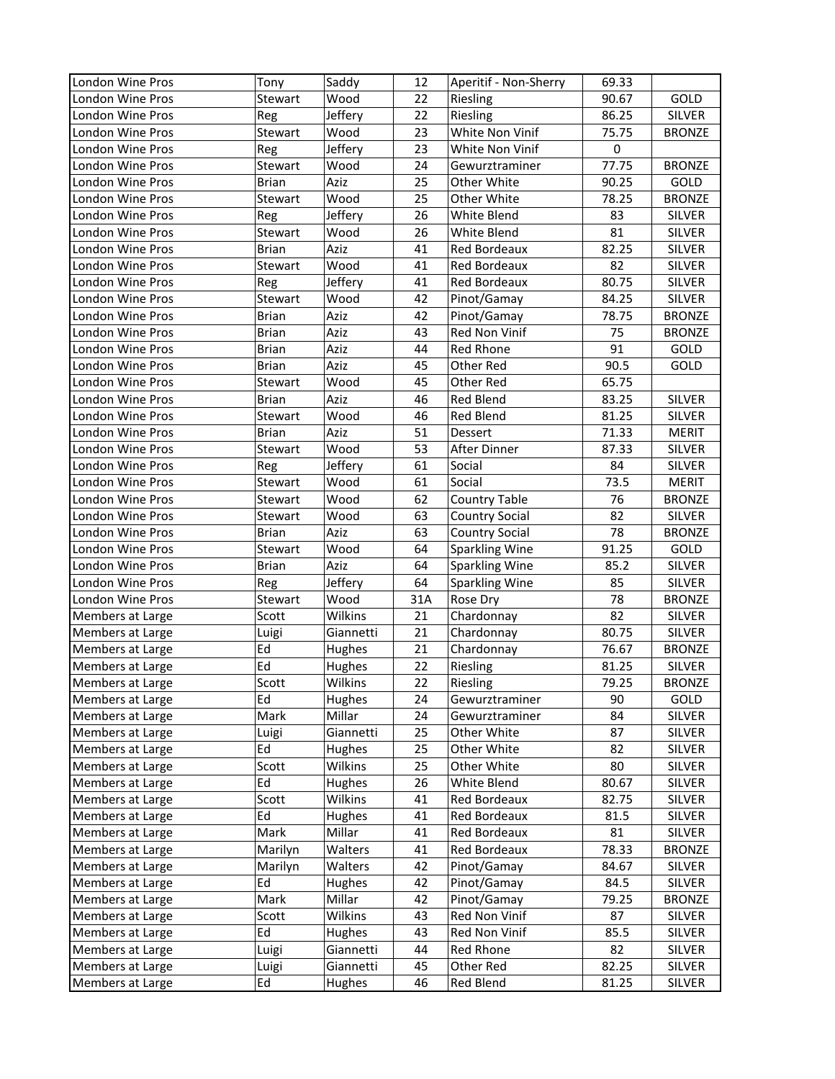| London Wine Pros | Tony         | Saddy     | 12  | Aperitif - Non-Sherry | 69.33       |               |
|------------------|--------------|-----------|-----|-----------------------|-------------|---------------|
| London Wine Pros | Stewart      | Wood      | 22  | Riesling              | 90.67       | GOLD          |
| London Wine Pros | Reg          | Jeffery   | 22  | Riesling              | 86.25       | <b>SILVER</b> |
| London Wine Pros | Stewart      | Wood      | 23  | White Non Vinif       | 75.75       | <b>BRONZE</b> |
| London Wine Pros | Reg          | Jeffery   | 23  | White Non Vinif       | $\mathbf 0$ |               |
| London Wine Pros | Stewart      | Wood      | 24  | Gewurztraminer        | 77.75       | <b>BRONZE</b> |
| London Wine Pros | <b>Brian</b> | Aziz      | 25  | Other White           | 90.25       | GOLD          |
| London Wine Pros | Stewart      | Wood      | 25  | Other White           | 78.25       | <b>BRONZE</b> |
| London Wine Pros | Reg          | Jeffery   | 26  | White Blend           | 83          | <b>SILVER</b> |
| London Wine Pros | Stewart      | Wood      | 26  | White Blend           | 81          | <b>SILVER</b> |
| London Wine Pros | <b>Brian</b> | Aziz      | 41  | Red Bordeaux          | 82.25       | <b>SILVER</b> |
| London Wine Pros | Stewart      | Wood      | 41  | Red Bordeaux          | 82          | <b>SILVER</b> |
| London Wine Pros | Reg          | Jeffery   | 41  | Red Bordeaux          | 80.75       | <b>SILVER</b> |
| London Wine Pros | Stewart      | Wood      | 42  | Pinot/Gamay           | 84.25       | <b>SILVER</b> |
| London Wine Pros | <b>Brian</b> | Aziz      | 42  | Pinot/Gamay           | 78.75       | <b>BRONZE</b> |
| London Wine Pros | <b>Brian</b> | Aziz      | 43  | Red Non Vinif         | 75          | <b>BRONZE</b> |
| London Wine Pros | <b>Brian</b> | Aziz      | 44  | Red Rhone             | 91          | GOLD          |
| London Wine Pros | <b>Brian</b> | Aziz      | 45  | Other Red             | 90.5        | GOLD          |
| London Wine Pros | Stewart      | Wood      | 45  | Other Red             | 65.75       |               |
| London Wine Pros | <b>Brian</b> | Aziz      | 46  | Red Blend             | 83.25       | SILVER        |
| London Wine Pros | Stewart      | Wood      | 46  | Red Blend             | 81.25       | <b>SILVER</b> |
| London Wine Pros | <b>Brian</b> | Aziz      | 51  | Dessert               | 71.33       | <b>MERIT</b>  |
| London Wine Pros | Stewart      | Wood      | 53  | After Dinner          | 87.33       | <b>SILVER</b> |
| London Wine Pros | Reg          | Jeffery   | 61  | Social                | 84          | <b>SILVER</b> |
| London Wine Pros | Stewart      | Wood      | 61  | Social                | 73.5        | <b>MERIT</b>  |
| London Wine Pros | Stewart      | Wood      | 62  | <b>Country Table</b>  | 76          | <b>BRONZE</b> |
| London Wine Pros | Stewart      | Wood      | 63  | <b>Country Social</b> | 82          | <b>SILVER</b> |
| London Wine Pros | <b>Brian</b> | Aziz      | 63  | Country Social        | 78          | <b>BRONZE</b> |
| London Wine Pros | Stewart      | Wood      | 64  | <b>Sparkling Wine</b> | 91.25       | GOLD          |
| London Wine Pros | <b>Brian</b> | Aziz      | 64  | <b>Sparkling Wine</b> | 85.2        | <b>SILVER</b> |
| London Wine Pros | Reg          | Jeffery   | 64  | Sparkling Wine        | 85          | <b>SILVER</b> |
| London Wine Pros | Stewart      | Wood      | 31A | Rose Dry              | 78          | <b>BRONZE</b> |
| Members at Large | Scott        | Wilkins   | 21  | Chardonnay            | 82          | <b>SILVER</b> |
| Members at Large | Luigi        | Giannetti | 21  | Chardonnay            | 80.75       | <b>SILVER</b> |
| Members at Large | Ed           | Hughes    | 21  | Chardonnay            | 76.67       | <b>BRONZE</b> |
| Members at Large | Ed           | Hughes    | 22  | Riesling              | 81.25       | <b>SILVER</b> |
| Members at Large | Scott        | Wilkins   | 22  | Riesling              | 79.25       | <b>BRONZE</b> |
| Members at Large | Ed           | Hughes    | 24  | Gewurztraminer        | 90          | GOLD          |
| Members at Large | Mark         | Millar    | 24  | Gewurztraminer        | 84          | SILVER        |
| Members at Large | Luigi        | Giannetti | 25  | Other White           | 87          | <b>SILVER</b> |
| Members at Large | Ed           | Hughes    | 25  | Other White           | 82          | SILVER        |
| Members at Large | Scott        | Wilkins   | 25  | Other White           | 80          | <b>SILVER</b> |
| Members at Large | Ed           | Hughes    | 26  | White Blend           | 80.67       | <b>SILVER</b> |
| Members at Large | Scott        | Wilkins   | 41  | Red Bordeaux          | 82.75       | SILVER        |
| Members at Large | Ed           | Hughes    | 41  | Red Bordeaux          | 81.5        | SILVER        |
| Members at Large | Mark         | Millar    | 41  | Red Bordeaux          | 81          | <b>SILVER</b> |
| Members at Large | Marilyn      | Walters   | 41  | Red Bordeaux          | 78.33       | <b>BRONZE</b> |
| Members at Large | Marilyn      | Walters   | 42  | Pinot/Gamay           | 84.67       | <b>SILVER</b> |
| Members at Large | Ed           | Hughes    | 42  | Pinot/Gamay           | 84.5        | SILVER        |
| Members at Large | Mark         | Millar    | 42  | Pinot/Gamay           | 79.25       | <b>BRONZE</b> |
| Members at Large | Scott        | Wilkins   | 43  | Red Non Vinif         | 87          | SILVER        |
| Members at Large | Ed           | Hughes    | 43  | Red Non Vinif         | 85.5        | <b>SILVER</b> |
| Members at Large | Luigi        | Giannetti | 44  | Red Rhone             | 82          | SILVER        |
| Members at Large | Luigi        | Giannetti | 45  | Other Red             | 82.25       | <b>SILVER</b> |
| Members at Large | Ed           | Hughes    | 46  | Red Blend             | 81.25       | SILVER        |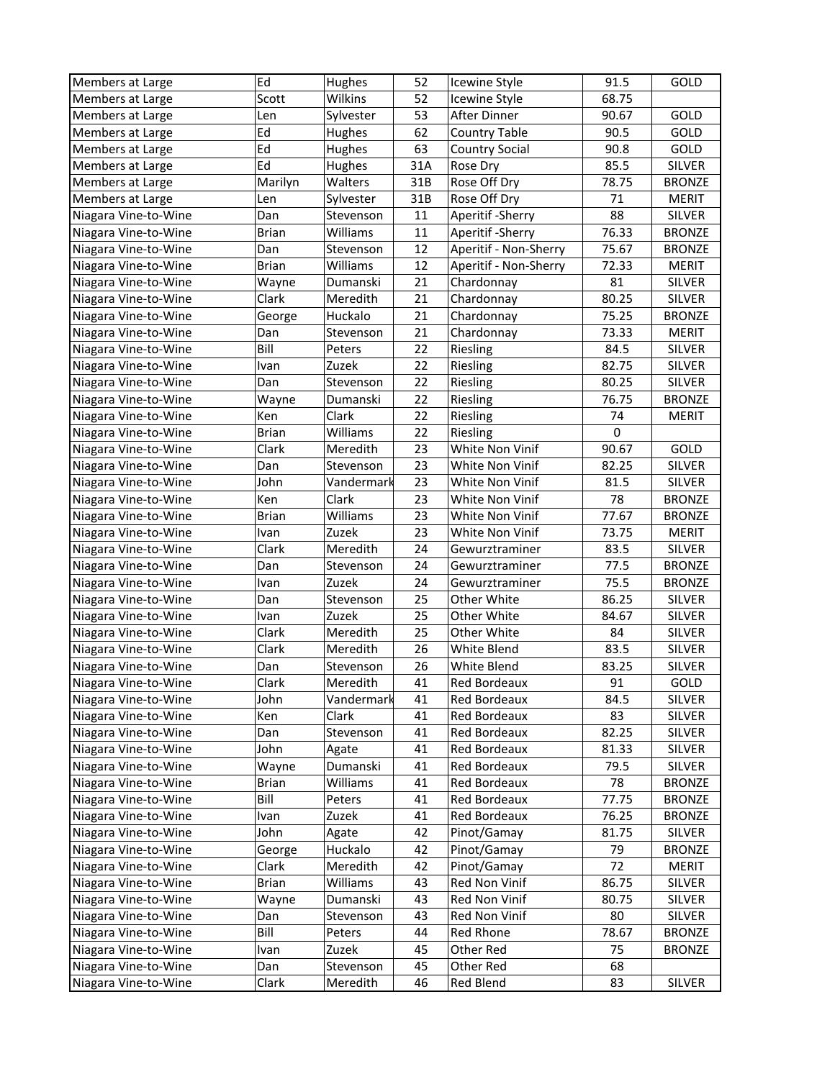| Members at Large     | Ed           | Hughes     | 52  | Icewine Style         | 91.5        | GOLD          |
|----------------------|--------------|------------|-----|-----------------------|-------------|---------------|
| Members at Large     | Scott        | Wilkins    | 52  | Icewine Style         | 68.75       |               |
| Members at Large     | Len          | Sylvester  | 53  | After Dinner          | 90.67       | GOLD          |
| Members at Large     | Ed           | Hughes     | 62  | <b>Country Table</b>  | 90.5        | GOLD          |
| Members at Large     | Ed           | Hughes     | 63  | <b>Country Social</b> | 90.8        | GOLD          |
| Members at Large     | Ed           | Hughes     | 31A | Rose Dry              | 85.5        | <b>SILVER</b> |
| Members at Large     | Marilyn      | Walters    | 31B | Rose Off Dry          | 78.75       | <b>BRONZE</b> |
| Members at Large     | Len          | Sylvester  | 31B | Rose Off Dry          | 71          | <b>MERIT</b>  |
| Niagara Vine-to-Wine | Dan          | Stevenson  | 11  | Aperitif - Sherry     | 88          | SILVER        |
| Niagara Vine-to-Wine | <b>Brian</b> | Williams   | 11  | Aperitif - Sherry     | 76.33       | <b>BRONZE</b> |
| Niagara Vine-to-Wine | Dan          | Stevenson  | 12  | Aperitif - Non-Sherry | 75.67       | <b>BRONZE</b> |
| Niagara Vine-to-Wine | <b>Brian</b> | Williams   | 12  | Aperitif - Non-Sherry | 72.33       | MERIT         |
| Niagara Vine-to-Wine | Wayne        | Dumanski   | 21  | Chardonnay            | 81          | SILVER        |
| Niagara Vine-to-Wine | Clark        | Meredith   | 21  | Chardonnay            | 80.25       | <b>SILVER</b> |
| Niagara Vine-to-Wine | George       | Huckalo    | 21  | Chardonnay            | 75.25       | <b>BRONZE</b> |
| Niagara Vine-to-Wine | Dan          | Stevenson  | 21  | Chardonnay            | 73.33       | <b>MERIT</b>  |
| Niagara Vine-to-Wine | Bill         | Peters     | 22  | Riesling              | 84.5        | SILVER        |
| Niagara Vine-to-Wine | Ivan         | Zuzek      | 22  | Riesling              | 82.75       | SILVER        |
| Niagara Vine-to-Wine | Dan          | Stevenson  | 22  | Riesling              | 80.25       | <b>SILVER</b> |
| Niagara Vine-to-Wine | Wayne        | Dumanski   | 22  | Riesling              | 76.75       | <b>BRONZE</b> |
| Niagara Vine-to-Wine | Ken          | Clark      | 22  | Riesling              | 74          | <b>MERIT</b>  |
| Niagara Vine-to-Wine | <b>Brian</b> | Williams   | 22  | Riesling              | $\mathbf 0$ |               |
| Niagara Vine-to-Wine | Clark        | Meredith   | 23  | White Non Vinif       | 90.67       | GOLD          |
| Niagara Vine-to-Wine | Dan          | Stevenson  | 23  | White Non Vinif       | 82.25       | <b>SILVER</b> |
| Niagara Vine-to-Wine | John         | Vandermark | 23  | White Non Vinif       | 81.5        | <b>SILVER</b> |
| Niagara Vine-to-Wine | Ken          | Clark      | 23  | White Non Vinif       | 78          | <b>BRONZE</b> |
| Niagara Vine-to-Wine | <b>Brian</b> | Williams   | 23  | White Non Vinif       | 77.67       | <b>BRONZE</b> |
| Niagara Vine-to-Wine | Ivan         | Zuzek      | 23  | White Non Vinif       | 73.75       | <b>MERIT</b>  |
| Niagara Vine-to-Wine | Clark        | Meredith   | 24  | Gewurztraminer        | 83.5        | <b>SILVER</b> |
| Niagara Vine-to-Wine | Dan          | Stevenson  | 24  | Gewurztraminer        | 77.5        | <b>BRONZE</b> |
| Niagara Vine-to-Wine | Ivan         | Zuzek      | 24  | Gewurztraminer        | 75.5        | <b>BRONZE</b> |
| Niagara Vine-to-Wine | Dan          | Stevenson  | 25  | Other White           | 86.25       | <b>SILVER</b> |
| Niagara Vine-to-Wine | Ivan         | Zuzek      | 25  | Other White           | 84.67       | <b>SILVER</b> |
| Niagara Vine-to-Wine | Clark        | Meredith   | 25  | Other White           | 84          | <b>SILVER</b> |
| Niagara Vine-to-Wine | Clark        | Meredith   | 26  | White Blend           | 83.5        | <b>SILVER</b> |
| Niagara Vine-to-Wine | Dan          | Stevenson  | 26  | White Blend           | 83.25       | SILVER        |
| Niagara Vine-to-Wine | Clark        | Meredith   | 41  | Red Bordeaux          | 91          | GOLD          |
| Niagara Vine-to-Wine | John         | Vandermark | 41  | Red Bordeaux          | 84.5        | <b>SILVER</b> |
| Niagara Vine-to-Wine | Ken          | Clark      | 41  | Red Bordeaux          | 83          | SILVER        |
| Niagara Vine-to-Wine | Dan          | Stevenson  | 41  | Red Bordeaux          | 82.25       | SILVER        |
| Niagara Vine-to-Wine | John         | Agate      | 41  | Red Bordeaux          | 81.33       | SILVER        |
| Niagara Vine-to-Wine | Wayne        | Dumanski   | 41  | Red Bordeaux          | 79.5        | SILVER        |
| Niagara Vine-to-Wine | <b>Brian</b> | Williams   | 41  | Red Bordeaux          | 78          | <b>BRONZE</b> |
| Niagara Vine-to-Wine | Bill         | Peters     | 41  | Red Bordeaux          | 77.75       | <b>BRONZE</b> |
| Niagara Vine-to-Wine | Ivan         | Zuzek      | 41  | Red Bordeaux          | 76.25       | <b>BRONZE</b> |
| Niagara Vine-to-Wine | John         | Agate      | 42  | Pinot/Gamay           | 81.75       | SILVER        |
| Niagara Vine-to-Wine | George       | Huckalo    | 42  | Pinot/Gamay           | 79          | <b>BRONZE</b> |
| Niagara Vine-to-Wine | Clark        | Meredith   | 42  | Pinot/Gamay           | 72          | MERIT         |
| Niagara Vine-to-Wine | Brian        | Williams   | 43  | Red Non Vinif         | 86.75       | <b>SILVER</b> |
| Niagara Vine-to-Wine | Wayne        | Dumanski   | 43  | Red Non Vinif         | 80.75       | SILVER        |
| Niagara Vine-to-Wine | Dan          | Stevenson  | 43  | Red Non Vinif         | 80          | SILVER        |
| Niagara Vine-to-Wine | Bill         | Peters     | 44  | Red Rhone             | 78.67       | <b>BRONZE</b> |
| Niagara Vine-to-Wine | Ivan         | Zuzek      | 45  | Other Red             | 75          | <b>BRONZE</b> |
| Niagara Vine-to-Wine | Dan          | Stevenson  | 45  | Other Red             | 68          |               |
| Niagara Vine-to-Wine | Clark        | Meredith   | 46  | Red Blend             | 83          | SILVER        |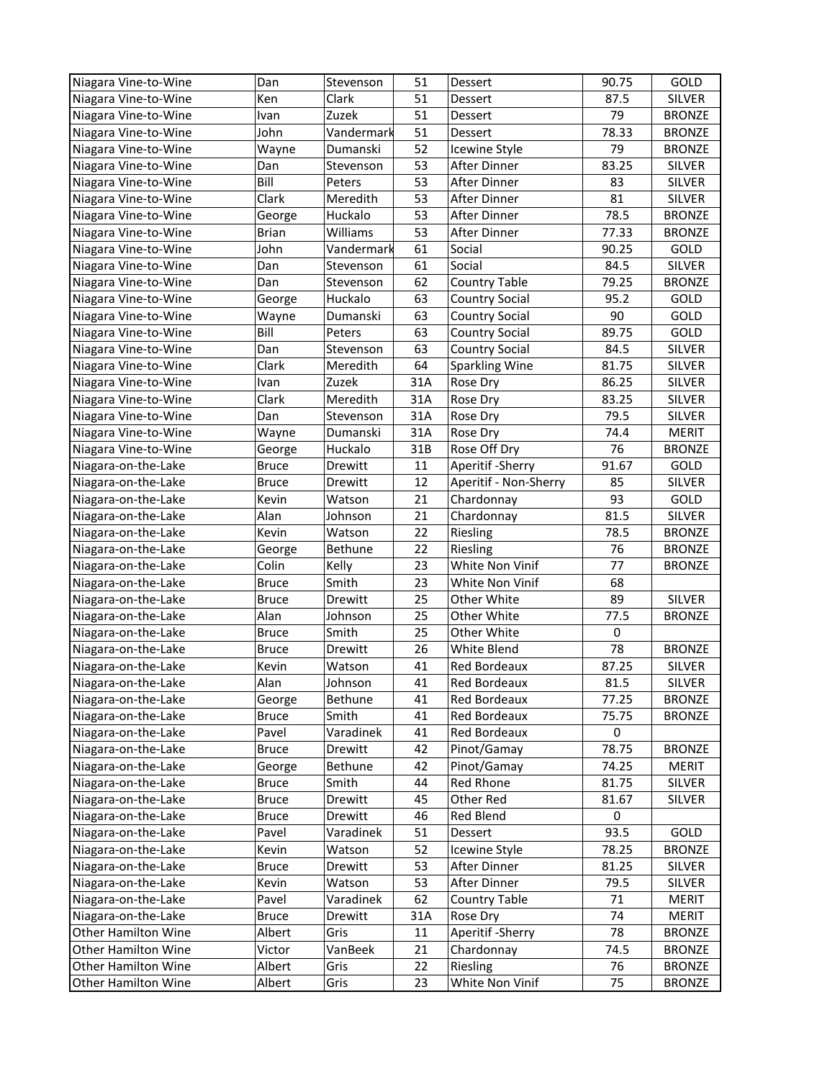| Niagara Vine-to-Wine | Dan                    | Stevenson                 | 51       | Dessert                       | 90.75       | GOLD                           |
|----------------------|------------------------|---------------------------|----------|-------------------------------|-------------|--------------------------------|
| Niagara Vine-to-Wine | Ken                    | Clark                     | 51       | Dessert                       | 87.5        | <b>SILVER</b>                  |
| Niagara Vine-to-Wine | Ivan                   | Zuzek                     | 51       | Dessert                       | 79          | <b>BRONZE</b>                  |
| Niagara Vine-to-Wine | John                   | Vandermark                | 51       | Dessert                       | 78.33       | <b>BRONZE</b>                  |
| Niagara Vine-to-Wine | Wayne                  | Dumanski                  | 52       | Icewine Style                 | 79          | <b>BRONZE</b>                  |
| Niagara Vine-to-Wine | Dan                    | Stevenson                 | 53       | After Dinner                  | 83.25       | <b>SILVER</b>                  |
| Niagara Vine-to-Wine | Bill                   | Peters                    | 53       | After Dinner                  | 83          | <b>SILVER</b>                  |
| Niagara Vine-to-Wine | Clark                  | Meredith                  | 53       | After Dinner                  | 81          | <b>SILVER</b>                  |
| Niagara Vine-to-Wine | George                 | Huckalo                   | 53       | After Dinner                  | 78.5        | <b>BRONZE</b>                  |
| Niagara Vine-to-Wine | <b>Brian</b>           | Williams                  | 53       | After Dinner                  | 77.33       | <b>BRONZE</b>                  |
| Niagara Vine-to-Wine | John                   | Vandermark                | 61       | Social                        | 90.25       | GOLD                           |
| Niagara Vine-to-Wine | Dan                    | Stevenson                 | 61       | Social                        | 84.5        | <b>SILVER</b>                  |
| Niagara Vine-to-Wine | Dan                    | Stevenson                 | 62       | <b>Country Table</b>          | 79.25       | <b>BRONZE</b>                  |
| Niagara Vine-to-Wine | George                 | Huckalo                   | 63       | <b>Country Social</b>         | 95.2        | GOLD                           |
| Niagara Vine-to-Wine | Wayne                  | Dumanski                  | 63       | <b>Country Social</b>         | 90          | GOLD                           |
| Niagara Vine-to-Wine | Bill                   | Peters                    | 63       | Country Social                | 89.75       | GOLD                           |
| Niagara Vine-to-Wine | Dan                    | Stevenson                 | 63       | <b>Country Social</b>         | 84.5        | SILVER                         |
| Niagara Vine-to-Wine | Clark                  | Meredith                  | 64       | <b>Sparkling Wine</b>         | 81.75       | SILVER                         |
| Niagara Vine-to-Wine | Ivan                   | Zuzek                     | 31A      | Rose Dry                      | 86.25       | SILVER                         |
| Niagara Vine-to-Wine | Clark                  | Meredith                  | 31A      | Rose Dry                      | 83.25       | <b>SILVER</b>                  |
| Niagara Vine-to-Wine | Dan                    | Stevenson                 | 31A      | Rose Dry                      | 79.5        | <b>SILVER</b>                  |
| Niagara Vine-to-Wine | Wayne                  | Dumanski                  | 31A      | Rose Dry                      | 74.4        | <b>MERIT</b>                   |
| Niagara Vine-to-Wine | George                 | Huckalo                   | 31B      | Rose Off Dry                  | 76          | <b>BRONZE</b>                  |
| Niagara-on-the-Lake  | <b>Bruce</b>           | Drewitt                   | 11       | Aperitif - Sherry             | 91.67       | GOLD                           |
| Niagara-on-the-Lake  | <b>Bruce</b>           | Drewitt                   | 12       | Aperitif - Non-Sherry         | 85          | SILVER                         |
| Niagara-on-the-Lake  | Kevin                  | Watson                    | 21       | Chardonnay                    | 93          | GOLD                           |
| Niagara-on-the-Lake  | Alan                   | Johnson                   | 21       | Chardonnay                    | 81.5        | <b>SILVER</b>                  |
| Niagara-on-the-Lake  | Kevin                  | Watson                    | 22       | Riesling                      | 78.5        | <b>BRONZE</b>                  |
| Niagara-on-the-Lake  | George                 | Bethune                   | 22       | Riesling                      | 76          | <b>BRONZE</b>                  |
| Niagara-on-the-Lake  | Colin                  | Kelly                     | 23       | White Non Vinif               | 77          | <b>BRONZE</b>                  |
| Niagara-on-the-Lake  | <b>Bruce</b>           | Smith                     | 23       | White Non Vinif               | 68          |                                |
| Niagara-on-the-Lake  | <b>Bruce</b>           | Drewitt                   | 25       | Other White                   | 89          | <b>SILVER</b>                  |
| Niagara-on-the-Lake  | Alan                   | Johnson                   | 25       | Other White                   | 77.5        | <b>BRONZE</b>                  |
| Niagara-on-the-Lake  | <b>Bruce</b>           | Smith                     | 25       | Other White                   | $\mathbf 0$ |                                |
| Niagara-on-the-Lake  | <b>Bruce</b>           | Drewitt                   | 26       | White Blend                   | 78          | <b>BRONZE</b>                  |
| Niagara-on-the-Lake  | Kevin                  | Watson                    | 41       | Red Bordeaux                  | 87.25       | SILVER                         |
| Niagara-on-the-Lake  | Alan                   |                           | 41       | Red Bordeaux                  | 81.5        | SILVER                         |
| Niagara-on-the-Lake  |                        | Johnson<br><b>Bethune</b> | 41       | Red Bordeaux                  | 77.25       | <b>BRONZE</b>                  |
| Niagara-on-the-Lake  | George<br><b>Bruce</b> | Smith                     | 41       | Red Bordeaux                  | 75.75       | <b>BRONZE</b>                  |
| Niagara-on-the-Lake  | Pavel                  | Varadinek                 | 41       | Red Bordeaux                  | $\mathbf 0$ |                                |
| Niagara-on-the-Lake  | <b>Bruce</b>           | Drewitt                   | 42       | Pinot/Gamay                   | 78.75       | <b>BRONZE</b>                  |
| Niagara-on-the-Lake  |                        | Bethune                   | 42       | Pinot/Gamay                   | 74.25       | <b>MERIT</b>                   |
| Niagara-on-the-Lake  | George<br><b>Bruce</b> | Smith                     | 44       | Red Rhone                     | 81.75       | SILVER                         |
| Niagara-on-the-Lake  | <b>Bruce</b>           | Drewitt                   | 45       | Other Red                     | 81.67       | SILVER                         |
| Niagara-on-the-Lake  | <b>Bruce</b>           | Drewitt                   | 46       | Red Blend                     | 0           |                                |
| Niagara-on-the-Lake  | Pavel                  | Varadinek                 | 51       |                               | 93.5        | GOLD                           |
|                      |                        |                           |          | Dessert                       |             |                                |
| Niagara-on-the-Lake  | Kevin                  | Watson<br>Drewitt         | 52<br>53 | Icewine Style<br>After Dinner | 78.25       | <b>BRONZE</b><br><b>SILVER</b> |
| Niagara-on-the-Lake  | <b>Bruce</b>           |                           |          |                               | 81.25       |                                |
| Niagara-on-the-Lake  | Kevin                  | Watson<br>Varadinek       | 53<br>62 | After Dinner                  | 79.5<br>71  | SILVER                         |
| Niagara-on-the-Lake  | Pavel                  |                           |          | Country Table                 |             | <b>MERIT</b>                   |
| Niagara-on-the-Lake  | <b>Bruce</b>           | Drewitt                   | 31A      | Rose Dry                      | 74          | MERIT                          |
| Other Hamilton Wine  | Albert                 | Gris                      | 11       | Aperitif - Sherry             | 78          | <b>BRONZE</b>                  |
| Other Hamilton Wine  | Victor                 | VanBeek                   | 21       | Chardonnay                    | 74.5        | <b>BRONZE</b>                  |
| Other Hamilton Wine  | Albert                 | Gris                      | 22       | Riesling                      | 76          | <b>BRONZE</b>                  |
| Other Hamilton Wine  | Albert                 | Gris                      | 23       | White Non Vinif               | 75          | <b>BRONZE</b>                  |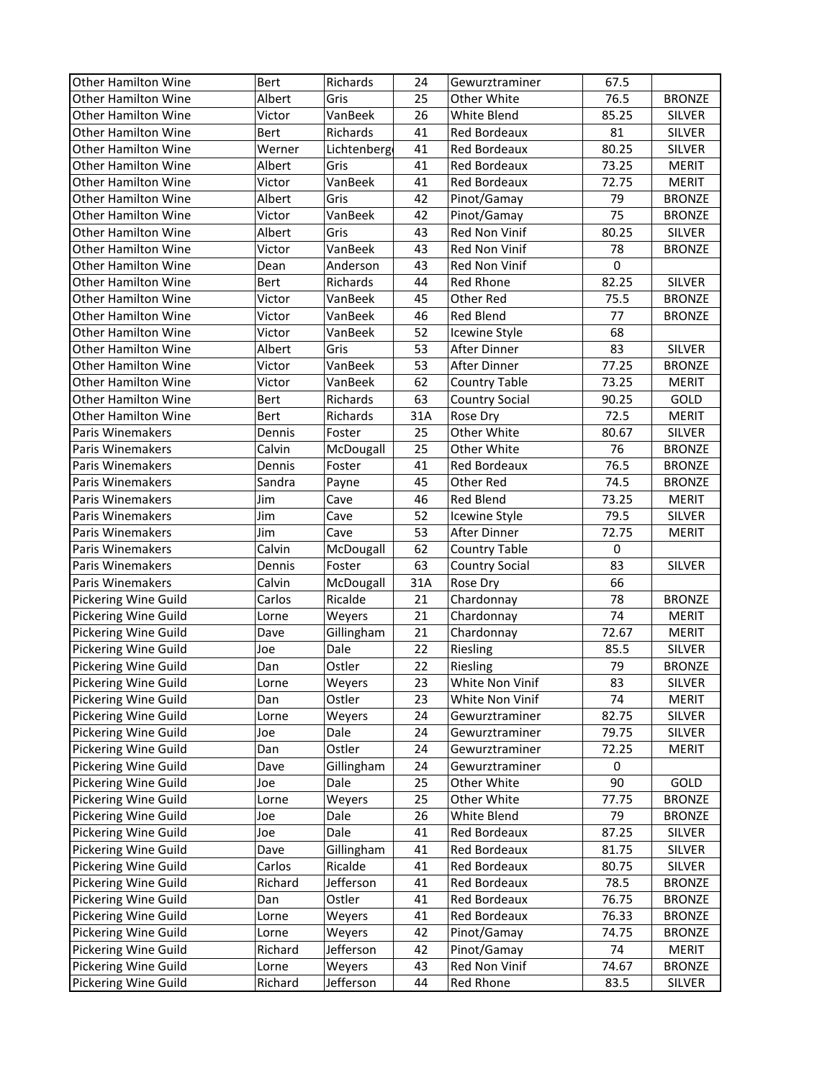| <b>Other Hamilton Wine</b> | Bert    | Richards    | 24  | Gewurztraminer        | 67.5        |               |
|----------------------------|---------|-------------|-----|-----------------------|-------------|---------------|
| Other Hamilton Wine        | Albert  | Gris        | 25  | Other White           | 76.5        | <b>BRONZE</b> |
| Other Hamilton Wine        | Victor  | VanBeek     | 26  | White Blend           | 85.25       | <b>SILVER</b> |
| Other Hamilton Wine        | Bert    | Richards    | 41  | Red Bordeaux          | 81          | <b>SILVER</b> |
| <b>Other Hamilton Wine</b> | Werner  | Lichtenberg | 41  | Red Bordeaux          | 80.25       | <b>SILVER</b> |
| Other Hamilton Wine        | Albert  | Gris        | 41  | Red Bordeaux          | 73.25       | <b>MERIT</b>  |
| Other Hamilton Wine        | Victor  | VanBeek     | 41  | Red Bordeaux          | 72.75       | <b>MERIT</b>  |
| <b>Other Hamilton Wine</b> | Albert  | Gris        | 42  | Pinot/Gamay           | 79          | <b>BRONZE</b> |
| Other Hamilton Wine        | Victor  | VanBeek     | 42  | Pinot/Gamay           | 75          | <b>BRONZE</b> |
| <b>Other Hamilton Wine</b> | Albert  | Gris        | 43  | Red Non Vinif         | 80.25       | <b>SILVER</b> |
| <b>Other Hamilton Wine</b> | Victor  | VanBeek     | 43  | Red Non Vinif         | 78          | <b>BRONZE</b> |
| <b>Other Hamilton Wine</b> | Dean    | Anderson    | 43  | Red Non Vinif         | $\mathbf 0$ |               |
| Other Hamilton Wine        | Bert    | Richards    | 44  | Red Rhone             | 82.25       | <b>SILVER</b> |
| Other Hamilton Wine        | Victor  | VanBeek     | 45  | Other Red             | 75.5        | <b>BRONZE</b> |
| <b>Other Hamilton Wine</b> | Victor  | VanBeek     | 46  | Red Blend             | 77          | <b>BRONZE</b> |
| Other Hamilton Wine        | Victor  | VanBeek     | 52  | Icewine Style         | 68          |               |
| <b>Other Hamilton Wine</b> | Albert  | Gris        | 53  | After Dinner          | 83          | <b>SILVER</b> |
| <b>Other Hamilton Wine</b> | Victor  | VanBeek     | 53  | After Dinner          | 77.25       | <b>BRONZE</b> |
| <b>Other Hamilton Wine</b> | Victor  | VanBeek     | 62  | Country Table         | 73.25       | <b>MERIT</b>  |
| Other Hamilton Wine        | Bert    | Richards    | 63  | <b>Country Social</b> | 90.25       | GOLD          |
| Other Hamilton Wine        | Bert    | Richards    | 31A | Rose Dry              | 72.5        | <b>MERIT</b>  |
| Paris Winemakers           | Dennis  | Foster      | 25  | Other White           | 80.67       | SILVER        |
| Paris Winemakers           | Calvin  | McDougall   | 25  | Other White           | 76          | <b>BRONZE</b> |
| Paris Winemakers           | Dennis  | Foster      | 41  | Red Bordeaux          | 76.5        | <b>BRONZE</b> |
| Paris Winemakers           | Sandra  | Payne       | 45  | Other Red             | 74.5        | <b>BRONZE</b> |
| Paris Winemakers           | Jim     | Cave        | 46  | Red Blend             | 73.25       | <b>MERIT</b>  |
| Paris Winemakers           | Jim     | Cave        | 52  | Icewine Style         | 79.5        | <b>SILVER</b> |
| Paris Winemakers           | Jim     | Cave        | 53  | After Dinner          | 72.75       | <b>MERIT</b>  |
| Paris Winemakers           | Calvin  | McDougall   | 62  | <b>Country Table</b>  | $\mathbf 0$ |               |
| Paris Winemakers           | Dennis  | Foster      | 63  | <b>Country Social</b> | 83          | <b>SILVER</b> |
| Paris Winemakers           | Calvin  | McDougall   | 31A | Rose Dry              | 66          |               |
| Pickering Wine Guild       | Carlos  | Ricalde     | 21  | Chardonnay            | 78          | <b>BRONZE</b> |
| Pickering Wine Guild       | Lorne   | Weyers      | 21  | Chardonnay            | 74          | <b>MERIT</b>  |
| Pickering Wine Guild       | Dave    | Gillingham  | 21  | Chardonnay            | 72.67       | <b>MERIT</b>  |
| Pickering Wine Guild       | Joe     | Dale        | 22  | Riesling              | 85.5        | <b>SILVER</b> |
| Pickering Wine Guild       | Dan     | Ostler      | 22  | Riesling              | 79          | <b>BRONZE</b> |
| Pickering Wine Guild       | Lorne   | Weyers      | 23  | White Non Vinif       | 83          | <b>SILVER</b> |
| Pickering Wine Guild       | Dan     | Ostler      | 23  | White Non Vinif       | 74          | <b>MERIT</b>  |
| Pickering Wine Guild       | Lorne   | Weyers      | 24  | Gewurztraminer        | 82.75       | SILVER        |
| Pickering Wine Guild       | Joe     | Dale        | 24  | Gewurztraminer        | 79.75       | SILVER        |
| Pickering Wine Guild       | Dan     | Ostler      | 24  | Gewurztraminer        | 72.25       | <b>MERIT</b>  |
| Pickering Wine Guild       | Dave    | Gillingham  | 24  | Gewurztraminer        | 0           |               |
| Pickering Wine Guild       | Joe     | Dale        | 25  | Other White           | 90          | GOLD          |
| Pickering Wine Guild       | Lorne   | Weyers      | 25  | Other White           | 77.75       | <b>BRONZE</b> |
| Pickering Wine Guild       | Joe     | Dale        | 26  | White Blend           | 79          | <b>BRONZE</b> |
| Pickering Wine Guild       | Joe     | Dale        | 41  | <b>Red Bordeaux</b>   | 87.25       | <b>SILVER</b> |
| Pickering Wine Guild       | Dave    | Gillingham  | 41  | <b>Red Bordeaux</b>   | 81.75       | SILVER        |
| Pickering Wine Guild       | Carlos  | Ricalde     | 41  | Red Bordeaux          | 80.75       | SILVER        |
| Pickering Wine Guild       | Richard | Jefferson   | 41  | Red Bordeaux          | 78.5        | <b>BRONZE</b> |
| Pickering Wine Guild       | Dan     | Ostler      | 41  | Red Bordeaux          | 76.75       | <b>BRONZE</b> |
| Pickering Wine Guild       | Lorne   | Weyers      | 41  | Red Bordeaux          | 76.33       | <b>BRONZE</b> |
| Pickering Wine Guild       | Lorne   | Weyers      | 42  | Pinot/Gamay           | 74.75       | <b>BRONZE</b> |
| Pickering Wine Guild       | Richard | Jefferson   | 42  | Pinot/Gamay           | 74          | <b>MERIT</b>  |
| Pickering Wine Guild       | Lorne   | Weyers      | 43  | Red Non Vinif         | 74.67       | <b>BRONZE</b> |
| Pickering Wine Guild       | Richard | Jefferson   | 44  | Red Rhone             | 83.5        | SILVER        |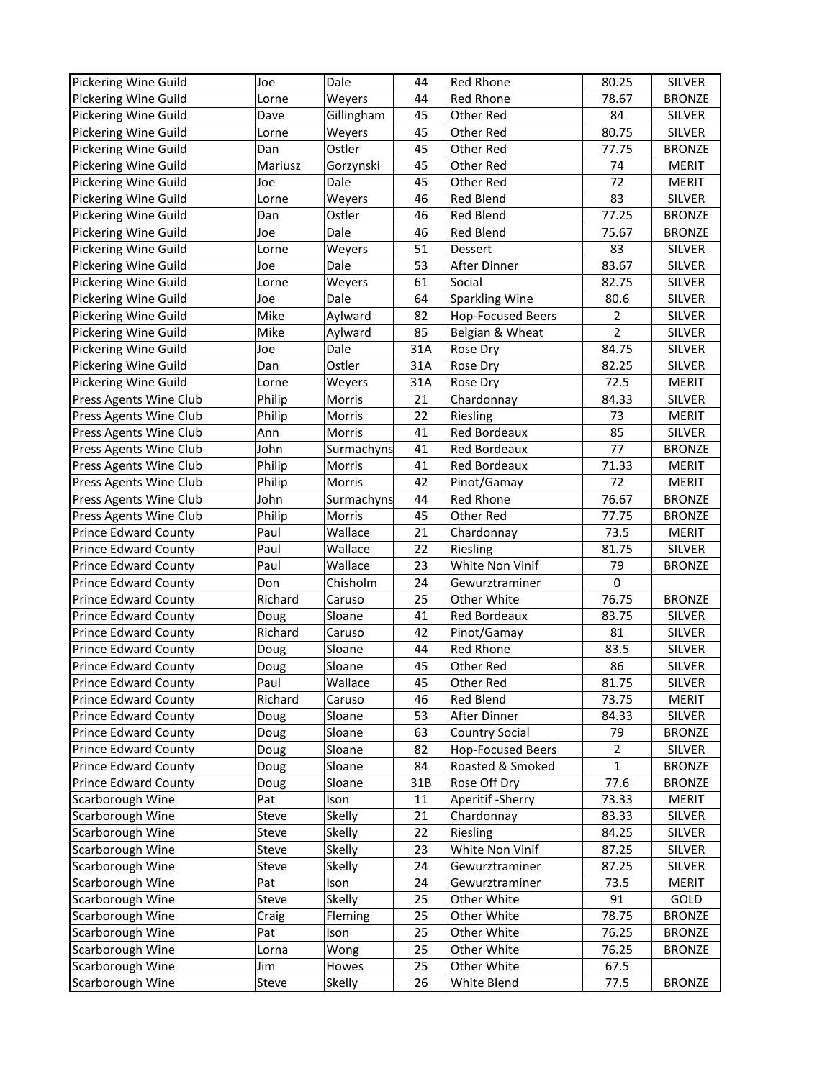| Pickering Wine Guild        | Joe     | Dale             | 44  | <b>Red Rhone</b>         | 80.25          | <b>SILVER</b> |
|-----------------------------|---------|------------------|-----|--------------------------|----------------|---------------|
| Pickering Wine Guild        | Lorne   | Weyers           | 44  | Red Rhone                | 78.67          | <b>BRONZE</b> |
| Pickering Wine Guild        | Dave    | Gillingham       | 45  | Other Red                | 84             | <b>SILVER</b> |
| Pickering Wine Guild        | Lorne   | Weyers           | 45  | Other Red                | 80.75          | <b>SILVER</b> |
| Pickering Wine Guild        | Dan     | Ostler           | 45  | Other Red                | 77.75          | <b>BRONZE</b> |
| Pickering Wine Guild        | Mariusz | Gorzynski        | 45  | Other Red                | 74             | <b>MERIT</b>  |
| Pickering Wine Guild        | Joe     | Dale             | 45  | Other Red                | 72             | <b>MERIT</b>  |
| Pickering Wine Guild        | Lorne   | Weyers           | 46  | Red Blend                | 83             | SILVER        |
| Pickering Wine Guild        | Dan     | Ostler           | 46  | Red Blend                | 77.25          | <b>BRONZE</b> |
| Pickering Wine Guild        | Joe     | Dale             | 46  | Red Blend                | 75.67          | <b>BRONZE</b> |
| Pickering Wine Guild        | Lorne   | Weyers           | 51  | Dessert                  | 83             | <b>SILVER</b> |
| Pickering Wine Guild        | Joe     | Dale             | 53  | After Dinner             | 83.67          | <b>SILVER</b> |
| Pickering Wine Guild        | Lorne   | Weyers           | 61  | Social                   | 82.75          | SILVER        |
| Pickering Wine Guild        | Joe     | Dale             | 64  | <b>Sparkling Wine</b>    | 80.6           | <b>SILVER</b> |
| Pickering Wine Guild        | Mike    | Aylward          | 82  | <b>Hop-Focused Beers</b> | $\overline{2}$ | <b>SILVER</b> |
| Pickering Wine Guild        | Mike    | Aylward          | 85  | Belgian & Wheat          | $\overline{2}$ | <b>SILVER</b> |
| Pickering Wine Guild        | Joe     | Dale             | 31A | Rose Dry                 | 84.75          | <b>SILVER</b> |
| Pickering Wine Guild        | Dan     | Ostler           | 31A | Rose Dry                 | 82.25          | <b>SILVER</b> |
| Pickering Wine Guild        | Lorne   | Weyers           | 31A | Rose Dry                 | 72.5           | <b>MERIT</b>  |
| Press Agents Wine Club      | Philip  | Morris           | 21  | Chardonnay               | 84.33          | <b>SILVER</b> |
|                             | Philip  |                  | 22  | Riesling                 | 73             | <b>MERIT</b>  |
| Press Agents Wine Club      | Ann     | Morris<br>Morris | 41  | Red Bordeaux             | 85             | <b>SILVER</b> |
| Press Agents Wine Club      |         |                  |     |                          | 77             |               |
| Press Agents Wine Club      | John    | Surmachyns       | 41  | Red Bordeaux             |                | <b>BRONZE</b> |
| Press Agents Wine Club      | Philip  | Morris           | 41  | Red Bordeaux             | 71.33          | <b>MERIT</b>  |
| Press Agents Wine Club      | Philip  | Morris           | 42  | Pinot/Gamay              | 72             | <b>MERIT</b>  |
| Press Agents Wine Club      | John    | Surmachyns       | 44  | Red Rhone                | 76.67          | <b>BRONZE</b> |
| Press Agents Wine Club      | Philip  | Morris           | 45  | Other Red                | 77.75          | <b>BRONZE</b> |
| <b>Prince Edward County</b> | Paul    | Wallace          | 21  | Chardonnay               | 73.5           | <b>MERIT</b>  |
| <b>Prince Edward County</b> | Paul    | Wallace          | 22  | Riesling                 | 81.75          | <b>SILVER</b> |
| <b>Prince Edward County</b> | Paul    | Wallace          | 23  | White Non Vinif          | 79             | <b>BRONZE</b> |
| <b>Prince Edward County</b> | Don     | Chisholm         | 24  | Gewurztraminer           | 0              |               |
| <b>Prince Edward County</b> | Richard | Caruso           | 25  | Other White              | 76.75          | <b>BRONZE</b> |
| Prince Edward County        | Doug    | Sloane           | 41  | Red Bordeaux             | 83.75          | SILVER        |
| <b>Prince Edward County</b> | Richard | Caruso           | 42  | Pinot/Gamay              | 81             | <b>SILVER</b> |
| <b>Prince Edward County</b> | Doug    | Sloane           | 44  | Red Rhone                | 83.5           | <b>SILVER</b> |
| <b>Prince Edward County</b> | Doug    | Sloane           | 45  | Other Red                | 86             | <b>SILVER</b> |
| <b>Prince Edward County</b> | Paul    | Wallace          | 45  | Other Red                | 81.75          | SILVER        |
| <b>Prince Edward County</b> | Richard | Caruso           | 46  | Red Blend                | 73.75          | MERIT         |
| Prince Edward County        | Doug    | Sloane           | 53  | After Dinner             | 84.33          | SILVER        |
| <b>Prince Edward County</b> | Doug    | Sloane           | 63  | <b>Country Social</b>    | 79             | <b>BRONZE</b> |
| Prince Edward County        | Doug    | Sloane           | 82  | <b>Hop-Focused Beers</b> | $\overline{2}$ | <b>SILVER</b> |
| Prince Edward County        | Doug    | Sloane           | 84  | Roasted & Smoked         | $\mathbf{1}$   | <b>BRONZE</b> |
| <b>Prince Edward County</b> | Doug    | Sloane           | 31B | Rose Off Dry             | 77.6           | <b>BRONZE</b> |
| Scarborough Wine            | Pat     | Ison             | 11  | Aperitif - Sherry        | 73.33          | <b>MERIT</b>  |
| Scarborough Wine            | Steve   | Skelly           | 21  | Chardonnay               | 83.33          | SILVER        |
| Scarborough Wine            | Steve   | Skelly           | 22  | Riesling                 | 84.25          | <b>SILVER</b> |
| Scarborough Wine            | Steve   | Skelly           | 23  | White Non Vinif          | 87.25          | SILVER        |
| Scarborough Wine            | Steve   | Skelly           | 24  | Gewurztraminer           | 87.25          | <b>SILVER</b> |
| Scarborough Wine            | Pat     | Ison             | 24  | Gewurztraminer           | 73.5           | <b>MERIT</b>  |
| Scarborough Wine            | Steve   | Skelly           | 25  | Other White              | 91             | GOLD          |
| Scarborough Wine            | Craig   | Fleming          | 25  | Other White              | 78.75          | <b>BRONZE</b> |
| Scarborough Wine            | Pat     | Ison             | 25  | Other White              | 76.25          | <b>BRONZE</b> |
| Scarborough Wine            | Lorna   | Wong             | 25  | Other White              | 76.25          | <b>BRONZE</b> |
| Scarborough Wine            | Jim     | Howes            | 25  | Other White              | 67.5           |               |
| Scarborough Wine            | Steve   | Skelly           | 26  | White Blend              | 77.5           | <b>BRONZE</b> |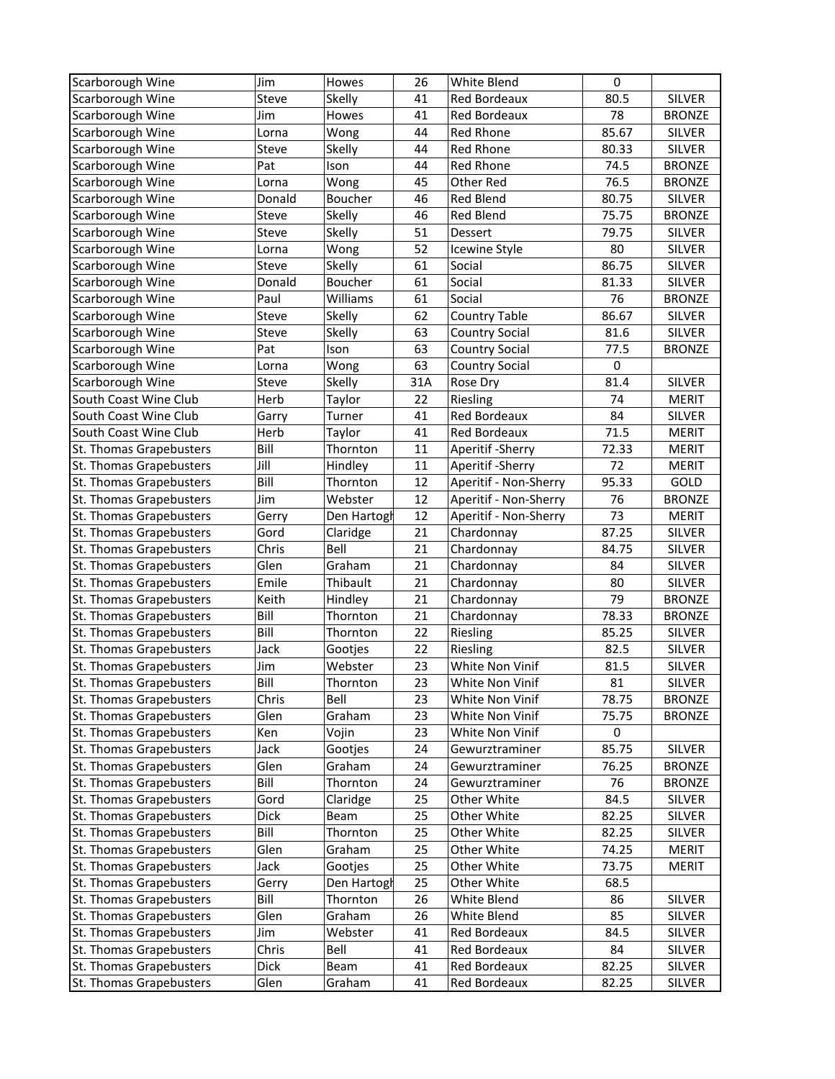| Scarborough Wine                                   | Jim          | Howes              | 26       | White Blend                | $\mathbf 0$    |                        |
|----------------------------------------------------|--------------|--------------------|----------|----------------------------|----------------|------------------------|
| Scarborough Wine                                   | Steve        | Skelly             | 41       | Red Bordeaux               | 80.5           | <b>SILVER</b>          |
| Scarborough Wine                                   | Jim          | Howes              | 41       | Red Bordeaux               | 78             | <b>BRONZE</b>          |
| Scarborough Wine                                   | Lorna        | Wong               | 44       | Red Rhone                  | 85.67          | <b>SILVER</b>          |
| Scarborough Wine                                   | Steve        | Skelly             | 44       | <b>Red Rhone</b>           | 80.33          | <b>SILVER</b>          |
| Scarborough Wine                                   | Pat          | Ison               | 44       | <b>Red Rhone</b>           | 74.5           | <b>BRONZE</b>          |
| Scarborough Wine                                   | Lorna        | Wong               | 45       | Other Red                  | 76.5           | <b>BRONZE</b>          |
| Scarborough Wine                                   | Donald       | Boucher            | 46       | Red Blend                  | 80.75          | <b>SILVER</b>          |
| Scarborough Wine                                   | Steve        | Skelly             | 46       | <b>Red Blend</b>           | 75.75          | <b>BRONZE</b>          |
| Scarborough Wine                                   | Steve        | Skelly             | 51       | Dessert                    | 79.75          | <b>SILVER</b>          |
| Scarborough Wine                                   | Lorna        | Wong               | 52       | Icewine Style              | 80             | <b>SILVER</b>          |
| Scarborough Wine                                   | Steve        | Skelly             | 61       | Social                     | 86.75          | <b>SILVER</b>          |
| Scarborough Wine                                   | Donald       | Boucher            | 61       | Social                     | 81.33          | <b>SILVER</b>          |
| Scarborough Wine                                   | Paul         | Williams           | 61       | Social                     | 76             | <b>BRONZE</b>          |
| Scarborough Wine                                   | Steve        | Skelly             | 62       | <b>Country Table</b>       | 86.67          | <b>SILVER</b>          |
| Scarborough Wine                                   | Steve        | Skelly             | 63       | <b>Country Social</b>      | 81.6           | <b>SILVER</b>          |
| Scarborough Wine                                   | Pat          | Ison               | 63       | <b>Country Social</b>      | 77.5           | <b>BRONZE</b>          |
| Scarborough Wine                                   | Lorna        | Wong               | 63       | <b>Country Social</b>      | $\mathbf 0$    |                        |
| Scarborough Wine                                   | Steve        | Skelly             | 31A      | Rose Dry                   | 81.4           | SILVER                 |
| South Coast Wine Club                              | Herb         | Taylor             | 22       | Riesling                   | 74             | <b>MERIT</b>           |
| South Coast Wine Club                              | Garry        | Turner             | 41       | Red Bordeaux               | 84             | <b>SILVER</b>          |
| South Coast Wine Club                              | Herb         | Taylor             | 41       | Red Bordeaux               | 71.5           | <b>MERIT</b>           |
| St. Thomas Grapebusters                            | Bill         | Thornton           | 11       | Aperitif - Sherry          | 72.33          | <b>MERIT</b>           |
| St. Thomas Grapebusters                            | Jill         | Hindley            | 11       | Aperitif - Sherry          | 72             | MERIT                  |
| St. Thomas Grapebusters                            | Bill         | Thornton           | 12       | Aperitif - Non-Sherry      | 95.33          | GOLD                   |
| St. Thomas Grapebusters                            | Jim          | Webster            | 12       | Aperitif - Non-Sherry      | 76             | <b>BRONZE</b>          |
| St. Thomas Grapebusters                            | Gerry        | Den Hartogl        | 12       | Aperitif - Non-Sherry      | 73             | <b>MERIT</b>           |
| St. Thomas Grapebusters                            | Gord         | Claridge           | 21       | Chardonnay                 | 87.25          | <b>SILVER</b>          |
| St. Thomas Grapebusters                            | Chris        | Bell               | 21       | Chardonnay                 | 84.75          | <b>SILVER</b>          |
| St. Thomas Grapebusters                            | Glen         | Graham             | 21       | Chardonnay                 | 84             | <b>SILVER</b>          |
| St. Thomas Grapebusters                            | Emile        | Thibault           | 21       | Chardonnay                 | 80             | SILVER                 |
| St. Thomas Grapebusters                            | Keith        | Hindley            | 21       | Chardonnay                 | 79             | <b>BRONZE</b>          |
| St. Thomas Grapebusters                            | Bill         | Thornton           | 21       | Chardonnay                 | 78.33          | <b>BRONZE</b>          |
| St. Thomas Grapebusters                            | Bill         | Thornton           | 22       | Riesling                   | 85.25          | <b>SILVER</b>          |
| St. Thomas Grapebusters                            | Jack         | Gootjes            | 22       | Riesling                   | 82.5           | <b>SILVER</b>          |
| St. Thomas Grapebusters                            | Jim          | Webster            | 23       | White Non Vinif            | 81.5           | SILVER                 |
| St. Thomas Grapebusters                            | Bill         | Thornton           | 23       | White Non Vinif            | 81             | <b>SILVER</b>          |
| St. Thomas Grapebusters                            | Chris        | Bell               | 23       | White Non Vinif            | 78.75          | <b>BRONZE</b>          |
| St. Thomas Grapebusters                            | Glen         | Graham             | 23       | White Non Vinif            | 75.75          | <b>BRONZE</b>          |
| St. Thomas Grapebusters                            | Ken          | Vojin              | 23       | White Non Vinif            | $\mathbf 0$    |                        |
| St. Thomas Grapebusters                            | Jack         | Gootjes            | 24       | Gewurztraminer             | 85.75          | SILVER                 |
| St. Thomas Grapebusters                            | Glen         | Graham             | 24       | Gewurztraminer             | 76.25          | <b>BRONZE</b>          |
| St. Thomas Grapebusters                            | Bill         | Thornton           | 24       | Gewurztraminer             | 76             | <b>BRONZE</b>          |
| St. Thomas Grapebusters                            | Gord         | Claridge           | 25       | Other White                | 84.5           | SILVER                 |
|                                                    |              |                    |          | Other White                | 82.25          | SILVER                 |
| St. Thomas Grapebusters                            | Dick         | Beam               | 25       |                            |                |                        |
| St. Thomas Grapebusters<br>St. Thomas Grapebusters | Bill<br>Glen | Thornton<br>Graham | 25<br>25 | Other White<br>Other White | 82.25          | SILVER<br><b>MERIT</b> |
| St. Thomas Grapebusters                            | Jack         |                    | 25       | Other White                | 74.25<br>73.75 |                        |
|                                                    |              | Gootjes            |          |                            |                | <b>MERIT</b>           |
| St. Thomas Grapebusters                            | Gerry        | Den Hartogl        | 25       | Other White                | 68.5           |                        |
| St. Thomas Grapebusters                            | Bill         | Thornton           | 26       | White Blend                | 86             | <b>SILVER</b>          |
| St. Thomas Grapebusters                            | Glen         | Graham             | 26       | White Blend                | 85             | SILVER                 |
| St. Thomas Grapebusters                            | Jim          | Webster            | 41       | Red Bordeaux               | 84.5           | SILVER                 |
| St. Thomas Grapebusters                            | Chris        | Bell               | 41       | Red Bordeaux               | 84             | SILVER                 |
| St. Thomas Grapebusters                            | <b>Dick</b>  | Beam               | 41       | Red Bordeaux               | 82.25          | SILVER                 |
| St. Thomas Grapebusters                            | Glen         | Graham             | 41       | Red Bordeaux               | 82.25          | SILVER                 |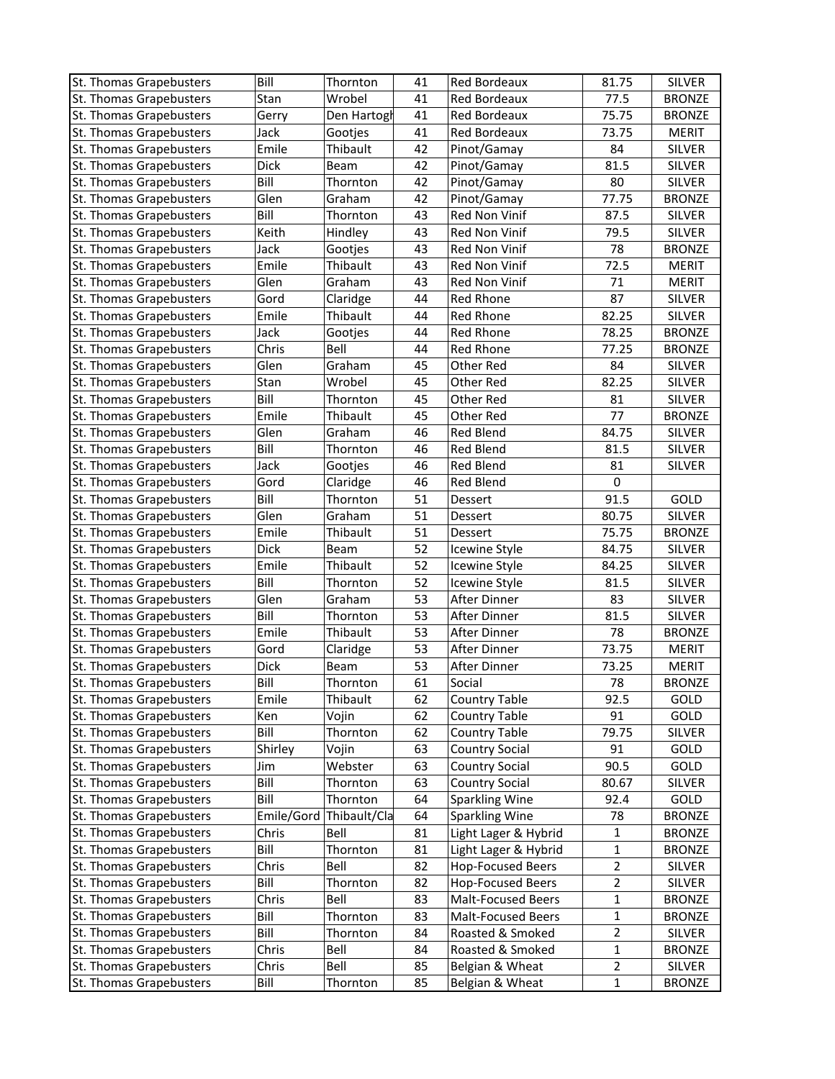| Wrobel<br>77.5<br><b>BRONZE</b><br>St. Thomas Grapebusters<br>Stan<br>41<br>Red Bordeaux<br>41<br>75.75<br><b>BRONZE</b><br>St. Thomas Grapebusters<br>Gerry<br>Den Hartogl<br>Red Bordeaux<br>73.75<br><b>MERIT</b><br>St. Thomas Grapebusters<br>Jack<br>Gootjes<br>41<br>Red Bordeaux<br>Emile<br>Thibault<br>Pinot/Gamay<br>84<br><b>SILVER</b><br>St. Thomas Grapebusters<br>42<br><b>Dick</b><br>Pinot/Gamay<br>81.5<br>SILVER<br>St. Thomas Grapebusters<br>Beam<br>42<br>Bill<br>Pinot/Gamay<br>80<br>SILVER<br>St. Thomas Grapebusters<br>Thornton<br>42<br>Glen<br>Graham<br>Pinot/Gamay<br>77.75<br><b>BRONZE</b><br>St. Thomas Grapebusters<br>42<br>Bill<br>St. Thomas Grapebusters<br>Thornton<br>Red Non Vinif<br>43<br>87.5<br>SILVER<br>Keith<br>Hindley<br>79.5<br><b>SILVER</b><br>St. Thomas Grapebusters<br>43<br>Red Non Vinif<br>78<br><b>BRONZE</b><br>St. Thomas Grapebusters<br>Jack<br>43<br>Red Non Vinif<br>Gootjes<br>Emile<br>Thibault<br>72.5<br>St. Thomas Grapebusters<br>43<br>Red Non Vinif<br><b>MERIT</b><br>Glen<br>71<br>St. Thomas Grapebusters<br>43<br>Red Non Vinif<br><b>MERIT</b><br>Graham<br>87<br>Gord<br>St. Thomas Grapebusters<br>Red Rhone<br>SILVER<br>Claridge<br>44<br>Emile<br>Thibault<br>Red Rhone<br>82.25<br>St. Thomas Grapebusters<br>44<br>SILVER<br>78.25<br>St. Thomas Grapebusters<br>Jack<br>Gootjes<br>44<br>Red Rhone<br><b>BRONZE</b><br>Chris<br>Bell<br>77.25<br>St. Thomas Grapebusters<br>44<br>Red Rhone<br><b>BRONZE</b><br><b>SILVER</b><br>St. Thomas Grapebusters<br>Glen<br>Graham<br>45<br>Other Red<br>84<br>Stan<br>82.25<br>SILVER<br>St. Thomas Grapebusters<br>Wrobel<br>45<br>Other Red<br>Bill<br>Other Red<br>81<br><b>SILVER</b><br>St. Thomas Grapebusters<br>Thornton<br>45<br>77<br>Emile<br>Thibault<br>Other Red<br><b>BRONZE</b><br>St. Thomas Grapebusters<br>45<br>Glen<br>Graham<br>46<br><b>Red Blend</b><br>84.75<br><b>SILVER</b><br>St. Thomas Grapebusters<br>Bill<br><b>SILVER</b><br>St. Thomas Grapebusters<br>Thornton<br>46<br><b>Red Blend</b><br>81.5<br>St. Thomas Grapebusters<br>Jack<br>46<br>Red Blend<br>81<br><b>SILVER</b><br>Gootjes<br>St. Thomas Grapebusters<br>Gord<br>Claridge<br>46<br>Red Blend<br>$\mathbf 0$<br>Bill<br>GOLD<br>St. Thomas Grapebusters<br>Thornton<br>51<br>91.5<br>Dessert<br>Glen<br>Graham<br>80.75<br>St. Thomas Grapebusters<br>51<br>Dessert<br>SILVER<br>Emile<br>Thibault<br>51<br>75.75<br><b>BRONZE</b><br>St. Thomas Grapebusters<br>Dessert<br><b>Dick</b><br>52<br>84.75<br><b>SILVER</b><br>St. Thomas Grapebusters<br>Beam<br>Icewine Style<br>Emile<br>Thibault<br>52<br>St. Thomas Grapebusters<br>Icewine Style<br>84.25<br><b>SILVER</b><br>Bill<br>52<br>SILVER<br>St. Thomas Grapebusters<br>Thornton<br>Icewine Style<br>81.5<br>83<br>St. Thomas Grapebusters<br>Glen<br>Graham<br>53<br>After Dinner<br><b>SILVER</b><br>Bill<br>53<br><b>SILVER</b><br>St. Thomas Grapebusters<br>Thornton<br>After Dinner<br>81.5<br>78<br>St. Thomas Grapebusters<br>Emile<br>Thibault<br>53<br>After Dinner<br><b>BRONZE</b><br>St. Thomas Grapebusters<br>Gord<br>53<br>After Dinner<br>73.75<br>Claridge<br><b>MERIT</b><br><b>Dick</b><br>53<br>St. Thomas Grapebusters<br>After Dinner<br>73.25<br><b>MERIT</b><br>Beam<br>St. Thomas Grapebusters<br>Bill<br>61<br>Social<br>78<br>Thornton<br><b>BRONZE</b><br>62<br>92.5<br>St. Thomas Grapebusters<br>Emile<br>Thibault<br>Country Table<br>GOLD<br>St. Thomas Grapebusters<br>Country Table<br>91<br>Ken<br>Vojin<br>62<br>GOLD<br>Bill<br>79.75<br>St. Thomas Grapebusters<br>Thornton<br>62<br><b>Country Table</b><br>SILVER<br>St. Thomas Grapebusters<br>Shirley<br>63<br><b>Country Social</b><br>91<br>GOLD<br>Vojin<br><b>Country Social</b><br>90.5<br>St. Thomas Grapebusters<br>Webster<br>GOLD<br>Jim<br>63<br>Bill<br>Country Social<br>St. Thomas Grapebusters<br>Thornton<br>80.67<br>SILVER<br>63<br>Bill<br>St. Thomas Grapebusters<br>Thornton<br>64<br><b>Sparkling Wine</b><br>92.4<br>GOLD<br>Thibault/Cla<br><b>Sparkling Wine</b><br>St. Thomas Grapebusters<br>Emile/Gord<br>64<br>78<br><b>BRONZE</b><br>Light Lager & Hybrid<br>St. Thomas Grapebusters<br>Chris<br>Bell<br>81<br><b>BRONZE</b><br>1<br>St. Thomas Grapebusters<br>Light Lager & Hybrid<br>1<br>Bill<br>Thornton<br>81<br><b>BRONZE</b><br><b>Hop-Focused Beers</b><br>St. Thomas Grapebusters<br>Chris<br>82<br>$\overline{2}$<br>SILVER<br>Bell<br>$\mathbf 2$<br>St. Thomas Grapebusters<br>Bill<br><b>Hop-Focused Beers</b><br>Thornton<br>82<br><b>SILVER</b><br>St. Thomas Grapebusters<br>Chris<br>Bell<br><b>Malt-Focused Beers</b><br>$\mathbf{1}$<br><b>BRONZE</b><br>83<br>St. Thomas Grapebusters<br>Bill<br>Thornton<br>Malt-Focused Beers<br>83<br>$\mathbf{1}$<br><b>BRONZE</b><br>Bill<br>St. Thomas Grapebusters<br>Thornton<br>Roasted & Smoked<br>$\overline{2}$<br><b>SILVER</b><br>84<br>St. Thomas Grapebusters<br>Roasted & Smoked<br>$\mathbf{1}$<br>Chris<br>Bell<br><b>BRONZE</b><br>84<br>St. Thomas Grapebusters<br>Chris<br>Bell<br>85<br>Belgian & Wheat<br>$\overline{2}$<br><b>SILVER</b><br>St. Thomas Grapebusters<br>$\mathbf{1}$<br><b>BRONZE</b><br>Bill<br>85<br>Belgian & Wheat<br>Thornton | St. Thomas Grapebusters | Bill | Thornton | 41 | Red Bordeaux | 81.75 | <b>SILVER</b> |
|------------------------------------------------------------------------------------------------------------------------------------------------------------------------------------------------------------------------------------------------------------------------------------------------------------------------------------------------------------------------------------------------------------------------------------------------------------------------------------------------------------------------------------------------------------------------------------------------------------------------------------------------------------------------------------------------------------------------------------------------------------------------------------------------------------------------------------------------------------------------------------------------------------------------------------------------------------------------------------------------------------------------------------------------------------------------------------------------------------------------------------------------------------------------------------------------------------------------------------------------------------------------------------------------------------------------------------------------------------------------------------------------------------------------------------------------------------------------------------------------------------------------------------------------------------------------------------------------------------------------------------------------------------------------------------------------------------------------------------------------------------------------------------------------------------------------------------------------------------------------------------------------------------------------------------------------------------------------------------------------------------------------------------------------------------------------------------------------------------------------------------------------------------------------------------------------------------------------------------------------------------------------------------------------------------------------------------------------------------------------------------------------------------------------------------------------------------------------------------------------------------------------------------------------------------------------------------------------------------------------------------------------------------------------------------------------------------------------------------------------------------------------------------------------------------------------------------------------------------------------------------------------------------------------------------------------------------------------------------------------------------------------------------------------------------------------------------------------------------------------------------------------------------------------------------------------------------------------------------------------------------------------------------------------------------------------------------------------------------------------------------------------------------------------------------------------------------------------------------------------------------------------------------------------------------------------------------------------------------------------------------------------------------------------------------------------------------------------------------------------------------------------------------------------------------------------------------------------------------------------------------------------------------------------------------------------------------------------------------------------------------------------------------------------------------------------------------------------------------------------------------------------------------------------------------------------------------------------------------------------------------------------------------------------------------------------------------------------------------------------------------------------------------------------------------------------------------------------------------------------------------------------------------------------------------------------------------------------------------------------------------------------------------------------------------------------------------------------------------------------------------------------------------------------------------------------------------------------------------------------------------------------------------------------------------------------------------------------------------------------------------------------------------------------------------------------------------------------------------------------------------------------------------------------------------------------------------------------------------------------------|-------------------------|------|----------|----|--------------|-------|---------------|
|                                                                                                                                                                                                                                                                                                                                                                                                                                                                                                                                                                                                                                                                                                                                                                                                                                                                                                                                                                                                                                                                                                                                                                                                                                                                                                                                                                                                                                                                                                                                                                                                                                                                                                                                                                                                                                                                                                                                                                                                                                                                                                                                                                                                                                                                                                                                                                                                                                                                                                                                                                                                                                                                                                                                                                                                                                                                                                                                                                                                                                                                                                                                                                                                                                                                                                                                                                                                                                                                                                                                                                                                                                                                                                                                                                                                                                                                                                                                                                                                                                                                                                                                                                                                                                                                                                                                                                                                                                                                                                                                                                                                                                                                                                                                                                                                                                                                                                                                                                                                                                                                                                                                                                                                                                                      |                         |      |          |    |              |       |               |
|                                                                                                                                                                                                                                                                                                                                                                                                                                                                                                                                                                                                                                                                                                                                                                                                                                                                                                                                                                                                                                                                                                                                                                                                                                                                                                                                                                                                                                                                                                                                                                                                                                                                                                                                                                                                                                                                                                                                                                                                                                                                                                                                                                                                                                                                                                                                                                                                                                                                                                                                                                                                                                                                                                                                                                                                                                                                                                                                                                                                                                                                                                                                                                                                                                                                                                                                                                                                                                                                                                                                                                                                                                                                                                                                                                                                                                                                                                                                                                                                                                                                                                                                                                                                                                                                                                                                                                                                                                                                                                                                                                                                                                                                                                                                                                                                                                                                                                                                                                                                                                                                                                                                                                                                                                                      |                         |      |          |    |              |       |               |
|                                                                                                                                                                                                                                                                                                                                                                                                                                                                                                                                                                                                                                                                                                                                                                                                                                                                                                                                                                                                                                                                                                                                                                                                                                                                                                                                                                                                                                                                                                                                                                                                                                                                                                                                                                                                                                                                                                                                                                                                                                                                                                                                                                                                                                                                                                                                                                                                                                                                                                                                                                                                                                                                                                                                                                                                                                                                                                                                                                                                                                                                                                                                                                                                                                                                                                                                                                                                                                                                                                                                                                                                                                                                                                                                                                                                                                                                                                                                                                                                                                                                                                                                                                                                                                                                                                                                                                                                                                                                                                                                                                                                                                                                                                                                                                                                                                                                                                                                                                                                                                                                                                                                                                                                                                                      |                         |      |          |    |              |       |               |
|                                                                                                                                                                                                                                                                                                                                                                                                                                                                                                                                                                                                                                                                                                                                                                                                                                                                                                                                                                                                                                                                                                                                                                                                                                                                                                                                                                                                                                                                                                                                                                                                                                                                                                                                                                                                                                                                                                                                                                                                                                                                                                                                                                                                                                                                                                                                                                                                                                                                                                                                                                                                                                                                                                                                                                                                                                                                                                                                                                                                                                                                                                                                                                                                                                                                                                                                                                                                                                                                                                                                                                                                                                                                                                                                                                                                                                                                                                                                                                                                                                                                                                                                                                                                                                                                                                                                                                                                                                                                                                                                                                                                                                                                                                                                                                                                                                                                                                                                                                                                                                                                                                                                                                                                                                                      |                         |      |          |    |              |       |               |
|                                                                                                                                                                                                                                                                                                                                                                                                                                                                                                                                                                                                                                                                                                                                                                                                                                                                                                                                                                                                                                                                                                                                                                                                                                                                                                                                                                                                                                                                                                                                                                                                                                                                                                                                                                                                                                                                                                                                                                                                                                                                                                                                                                                                                                                                                                                                                                                                                                                                                                                                                                                                                                                                                                                                                                                                                                                                                                                                                                                                                                                                                                                                                                                                                                                                                                                                                                                                                                                                                                                                                                                                                                                                                                                                                                                                                                                                                                                                                                                                                                                                                                                                                                                                                                                                                                                                                                                                                                                                                                                                                                                                                                                                                                                                                                                                                                                                                                                                                                                                                                                                                                                                                                                                                                                      |                         |      |          |    |              |       |               |
|                                                                                                                                                                                                                                                                                                                                                                                                                                                                                                                                                                                                                                                                                                                                                                                                                                                                                                                                                                                                                                                                                                                                                                                                                                                                                                                                                                                                                                                                                                                                                                                                                                                                                                                                                                                                                                                                                                                                                                                                                                                                                                                                                                                                                                                                                                                                                                                                                                                                                                                                                                                                                                                                                                                                                                                                                                                                                                                                                                                                                                                                                                                                                                                                                                                                                                                                                                                                                                                                                                                                                                                                                                                                                                                                                                                                                                                                                                                                                                                                                                                                                                                                                                                                                                                                                                                                                                                                                                                                                                                                                                                                                                                                                                                                                                                                                                                                                                                                                                                                                                                                                                                                                                                                                                                      |                         |      |          |    |              |       |               |
|                                                                                                                                                                                                                                                                                                                                                                                                                                                                                                                                                                                                                                                                                                                                                                                                                                                                                                                                                                                                                                                                                                                                                                                                                                                                                                                                                                                                                                                                                                                                                                                                                                                                                                                                                                                                                                                                                                                                                                                                                                                                                                                                                                                                                                                                                                                                                                                                                                                                                                                                                                                                                                                                                                                                                                                                                                                                                                                                                                                                                                                                                                                                                                                                                                                                                                                                                                                                                                                                                                                                                                                                                                                                                                                                                                                                                                                                                                                                                                                                                                                                                                                                                                                                                                                                                                                                                                                                                                                                                                                                                                                                                                                                                                                                                                                                                                                                                                                                                                                                                                                                                                                                                                                                                                                      |                         |      |          |    |              |       |               |
|                                                                                                                                                                                                                                                                                                                                                                                                                                                                                                                                                                                                                                                                                                                                                                                                                                                                                                                                                                                                                                                                                                                                                                                                                                                                                                                                                                                                                                                                                                                                                                                                                                                                                                                                                                                                                                                                                                                                                                                                                                                                                                                                                                                                                                                                                                                                                                                                                                                                                                                                                                                                                                                                                                                                                                                                                                                                                                                                                                                                                                                                                                                                                                                                                                                                                                                                                                                                                                                                                                                                                                                                                                                                                                                                                                                                                                                                                                                                                                                                                                                                                                                                                                                                                                                                                                                                                                                                                                                                                                                                                                                                                                                                                                                                                                                                                                                                                                                                                                                                                                                                                                                                                                                                                                                      |                         |      |          |    |              |       |               |
|                                                                                                                                                                                                                                                                                                                                                                                                                                                                                                                                                                                                                                                                                                                                                                                                                                                                                                                                                                                                                                                                                                                                                                                                                                                                                                                                                                                                                                                                                                                                                                                                                                                                                                                                                                                                                                                                                                                                                                                                                                                                                                                                                                                                                                                                                                                                                                                                                                                                                                                                                                                                                                                                                                                                                                                                                                                                                                                                                                                                                                                                                                                                                                                                                                                                                                                                                                                                                                                                                                                                                                                                                                                                                                                                                                                                                                                                                                                                                                                                                                                                                                                                                                                                                                                                                                                                                                                                                                                                                                                                                                                                                                                                                                                                                                                                                                                                                                                                                                                                                                                                                                                                                                                                                                                      |                         |      |          |    |              |       |               |
|                                                                                                                                                                                                                                                                                                                                                                                                                                                                                                                                                                                                                                                                                                                                                                                                                                                                                                                                                                                                                                                                                                                                                                                                                                                                                                                                                                                                                                                                                                                                                                                                                                                                                                                                                                                                                                                                                                                                                                                                                                                                                                                                                                                                                                                                                                                                                                                                                                                                                                                                                                                                                                                                                                                                                                                                                                                                                                                                                                                                                                                                                                                                                                                                                                                                                                                                                                                                                                                                                                                                                                                                                                                                                                                                                                                                                                                                                                                                                                                                                                                                                                                                                                                                                                                                                                                                                                                                                                                                                                                                                                                                                                                                                                                                                                                                                                                                                                                                                                                                                                                                                                                                                                                                                                                      |                         |      |          |    |              |       |               |
|                                                                                                                                                                                                                                                                                                                                                                                                                                                                                                                                                                                                                                                                                                                                                                                                                                                                                                                                                                                                                                                                                                                                                                                                                                                                                                                                                                                                                                                                                                                                                                                                                                                                                                                                                                                                                                                                                                                                                                                                                                                                                                                                                                                                                                                                                                                                                                                                                                                                                                                                                                                                                                                                                                                                                                                                                                                                                                                                                                                                                                                                                                                                                                                                                                                                                                                                                                                                                                                                                                                                                                                                                                                                                                                                                                                                                                                                                                                                                                                                                                                                                                                                                                                                                                                                                                                                                                                                                                                                                                                                                                                                                                                                                                                                                                                                                                                                                                                                                                                                                                                                                                                                                                                                                                                      |                         |      |          |    |              |       |               |
|                                                                                                                                                                                                                                                                                                                                                                                                                                                                                                                                                                                                                                                                                                                                                                                                                                                                                                                                                                                                                                                                                                                                                                                                                                                                                                                                                                                                                                                                                                                                                                                                                                                                                                                                                                                                                                                                                                                                                                                                                                                                                                                                                                                                                                                                                                                                                                                                                                                                                                                                                                                                                                                                                                                                                                                                                                                                                                                                                                                                                                                                                                                                                                                                                                                                                                                                                                                                                                                                                                                                                                                                                                                                                                                                                                                                                                                                                                                                                                                                                                                                                                                                                                                                                                                                                                                                                                                                                                                                                                                                                                                                                                                                                                                                                                                                                                                                                                                                                                                                                                                                                                                                                                                                                                                      |                         |      |          |    |              |       |               |
|                                                                                                                                                                                                                                                                                                                                                                                                                                                                                                                                                                                                                                                                                                                                                                                                                                                                                                                                                                                                                                                                                                                                                                                                                                                                                                                                                                                                                                                                                                                                                                                                                                                                                                                                                                                                                                                                                                                                                                                                                                                                                                                                                                                                                                                                                                                                                                                                                                                                                                                                                                                                                                                                                                                                                                                                                                                                                                                                                                                                                                                                                                                                                                                                                                                                                                                                                                                                                                                                                                                                                                                                                                                                                                                                                                                                                                                                                                                                                                                                                                                                                                                                                                                                                                                                                                                                                                                                                                                                                                                                                                                                                                                                                                                                                                                                                                                                                                                                                                                                                                                                                                                                                                                                                                                      |                         |      |          |    |              |       |               |
|                                                                                                                                                                                                                                                                                                                                                                                                                                                                                                                                                                                                                                                                                                                                                                                                                                                                                                                                                                                                                                                                                                                                                                                                                                                                                                                                                                                                                                                                                                                                                                                                                                                                                                                                                                                                                                                                                                                                                                                                                                                                                                                                                                                                                                                                                                                                                                                                                                                                                                                                                                                                                                                                                                                                                                                                                                                                                                                                                                                                                                                                                                                                                                                                                                                                                                                                                                                                                                                                                                                                                                                                                                                                                                                                                                                                                                                                                                                                                                                                                                                                                                                                                                                                                                                                                                                                                                                                                                                                                                                                                                                                                                                                                                                                                                                                                                                                                                                                                                                                                                                                                                                                                                                                                                                      |                         |      |          |    |              |       |               |
|                                                                                                                                                                                                                                                                                                                                                                                                                                                                                                                                                                                                                                                                                                                                                                                                                                                                                                                                                                                                                                                                                                                                                                                                                                                                                                                                                                                                                                                                                                                                                                                                                                                                                                                                                                                                                                                                                                                                                                                                                                                                                                                                                                                                                                                                                                                                                                                                                                                                                                                                                                                                                                                                                                                                                                                                                                                                                                                                                                                                                                                                                                                                                                                                                                                                                                                                                                                                                                                                                                                                                                                                                                                                                                                                                                                                                                                                                                                                                                                                                                                                                                                                                                                                                                                                                                                                                                                                                                                                                                                                                                                                                                                                                                                                                                                                                                                                                                                                                                                                                                                                                                                                                                                                                                                      |                         |      |          |    |              |       |               |
|                                                                                                                                                                                                                                                                                                                                                                                                                                                                                                                                                                                                                                                                                                                                                                                                                                                                                                                                                                                                                                                                                                                                                                                                                                                                                                                                                                                                                                                                                                                                                                                                                                                                                                                                                                                                                                                                                                                                                                                                                                                                                                                                                                                                                                                                                                                                                                                                                                                                                                                                                                                                                                                                                                                                                                                                                                                                                                                                                                                                                                                                                                                                                                                                                                                                                                                                                                                                                                                                                                                                                                                                                                                                                                                                                                                                                                                                                                                                                                                                                                                                                                                                                                                                                                                                                                                                                                                                                                                                                                                                                                                                                                                                                                                                                                                                                                                                                                                                                                                                                                                                                                                                                                                                                                                      |                         |      |          |    |              |       |               |
|                                                                                                                                                                                                                                                                                                                                                                                                                                                                                                                                                                                                                                                                                                                                                                                                                                                                                                                                                                                                                                                                                                                                                                                                                                                                                                                                                                                                                                                                                                                                                                                                                                                                                                                                                                                                                                                                                                                                                                                                                                                                                                                                                                                                                                                                                                                                                                                                                                                                                                                                                                                                                                                                                                                                                                                                                                                                                                                                                                                                                                                                                                                                                                                                                                                                                                                                                                                                                                                                                                                                                                                                                                                                                                                                                                                                                                                                                                                                                                                                                                                                                                                                                                                                                                                                                                                                                                                                                                                                                                                                                                                                                                                                                                                                                                                                                                                                                                                                                                                                                                                                                                                                                                                                                                                      |                         |      |          |    |              |       |               |
|                                                                                                                                                                                                                                                                                                                                                                                                                                                                                                                                                                                                                                                                                                                                                                                                                                                                                                                                                                                                                                                                                                                                                                                                                                                                                                                                                                                                                                                                                                                                                                                                                                                                                                                                                                                                                                                                                                                                                                                                                                                                                                                                                                                                                                                                                                                                                                                                                                                                                                                                                                                                                                                                                                                                                                                                                                                                                                                                                                                                                                                                                                                                                                                                                                                                                                                                                                                                                                                                                                                                                                                                                                                                                                                                                                                                                                                                                                                                                                                                                                                                                                                                                                                                                                                                                                                                                                                                                                                                                                                                                                                                                                                                                                                                                                                                                                                                                                                                                                                                                                                                                                                                                                                                                                                      |                         |      |          |    |              |       |               |
|                                                                                                                                                                                                                                                                                                                                                                                                                                                                                                                                                                                                                                                                                                                                                                                                                                                                                                                                                                                                                                                                                                                                                                                                                                                                                                                                                                                                                                                                                                                                                                                                                                                                                                                                                                                                                                                                                                                                                                                                                                                                                                                                                                                                                                                                                                                                                                                                                                                                                                                                                                                                                                                                                                                                                                                                                                                                                                                                                                                                                                                                                                                                                                                                                                                                                                                                                                                                                                                                                                                                                                                                                                                                                                                                                                                                                                                                                                                                                                                                                                                                                                                                                                                                                                                                                                                                                                                                                                                                                                                                                                                                                                                                                                                                                                                                                                                                                                                                                                                                                                                                                                                                                                                                                                                      |                         |      |          |    |              |       |               |
|                                                                                                                                                                                                                                                                                                                                                                                                                                                                                                                                                                                                                                                                                                                                                                                                                                                                                                                                                                                                                                                                                                                                                                                                                                                                                                                                                                                                                                                                                                                                                                                                                                                                                                                                                                                                                                                                                                                                                                                                                                                                                                                                                                                                                                                                                                                                                                                                                                                                                                                                                                                                                                                                                                                                                                                                                                                                                                                                                                                                                                                                                                                                                                                                                                                                                                                                                                                                                                                                                                                                                                                                                                                                                                                                                                                                                                                                                                                                                                                                                                                                                                                                                                                                                                                                                                                                                                                                                                                                                                                                                                                                                                                                                                                                                                                                                                                                                                                                                                                                                                                                                                                                                                                                                                                      |                         |      |          |    |              |       |               |
|                                                                                                                                                                                                                                                                                                                                                                                                                                                                                                                                                                                                                                                                                                                                                                                                                                                                                                                                                                                                                                                                                                                                                                                                                                                                                                                                                                                                                                                                                                                                                                                                                                                                                                                                                                                                                                                                                                                                                                                                                                                                                                                                                                                                                                                                                                                                                                                                                                                                                                                                                                                                                                                                                                                                                                                                                                                                                                                                                                                                                                                                                                                                                                                                                                                                                                                                                                                                                                                                                                                                                                                                                                                                                                                                                                                                                                                                                                                                                                                                                                                                                                                                                                                                                                                                                                                                                                                                                                                                                                                                                                                                                                                                                                                                                                                                                                                                                                                                                                                                                                                                                                                                                                                                                                                      |                         |      |          |    |              |       |               |
|                                                                                                                                                                                                                                                                                                                                                                                                                                                                                                                                                                                                                                                                                                                                                                                                                                                                                                                                                                                                                                                                                                                                                                                                                                                                                                                                                                                                                                                                                                                                                                                                                                                                                                                                                                                                                                                                                                                                                                                                                                                                                                                                                                                                                                                                                                                                                                                                                                                                                                                                                                                                                                                                                                                                                                                                                                                                                                                                                                                                                                                                                                                                                                                                                                                                                                                                                                                                                                                                                                                                                                                                                                                                                                                                                                                                                                                                                                                                                                                                                                                                                                                                                                                                                                                                                                                                                                                                                                                                                                                                                                                                                                                                                                                                                                                                                                                                                                                                                                                                                                                                                                                                                                                                                                                      |                         |      |          |    |              |       |               |
|                                                                                                                                                                                                                                                                                                                                                                                                                                                                                                                                                                                                                                                                                                                                                                                                                                                                                                                                                                                                                                                                                                                                                                                                                                                                                                                                                                                                                                                                                                                                                                                                                                                                                                                                                                                                                                                                                                                                                                                                                                                                                                                                                                                                                                                                                                                                                                                                                                                                                                                                                                                                                                                                                                                                                                                                                                                                                                                                                                                                                                                                                                                                                                                                                                                                                                                                                                                                                                                                                                                                                                                                                                                                                                                                                                                                                                                                                                                                                                                                                                                                                                                                                                                                                                                                                                                                                                                                                                                                                                                                                                                                                                                                                                                                                                                                                                                                                                                                                                                                                                                                                                                                                                                                                                                      |                         |      |          |    |              |       |               |
|                                                                                                                                                                                                                                                                                                                                                                                                                                                                                                                                                                                                                                                                                                                                                                                                                                                                                                                                                                                                                                                                                                                                                                                                                                                                                                                                                                                                                                                                                                                                                                                                                                                                                                                                                                                                                                                                                                                                                                                                                                                                                                                                                                                                                                                                                                                                                                                                                                                                                                                                                                                                                                                                                                                                                                                                                                                                                                                                                                                                                                                                                                                                                                                                                                                                                                                                                                                                                                                                                                                                                                                                                                                                                                                                                                                                                                                                                                                                                                                                                                                                                                                                                                                                                                                                                                                                                                                                                                                                                                                                                                                                                                                                                                                                                                                                                                                                                                                                                                                                                                                                                                                                                                                                                                                      |                         |      |          |    |              |       |               |
|                                                                                                                                                                                                                                                                                                                                                                                                                                                                                                                                                                                                                                                                                                                                                                                                                                                                                                                                                                                                                                                                                                                                                                                                                                                                                                                                                                                                                                                                                                                                                                                                                                                                                                                                                                                                                                                                                                                                                                                                                                                                                                                                                                                                                                                                                                                                                                                                                                                                                                                                                                                                                                                                                                                                                                                                                                                                                                                                                                                                                                                                                                                                                                                                                                                                                                                                                                                                                                                                                                                                                                                                                                                                                                                                                                                                                                                                                                                                                                                                                                                                                                                                                                                                                                                                                                                                                                                                                                                                                                                                                                                                                                                                                                                                                                                                                                                                                                                                                                                                                                                                                                                                                                                                                                                      |                         |      |          |    |              |       |               |
|                                                                                                                                                                                                                                                                                                                                                                                                                                                                                                                                                                                                                                                                                                                                                                                                                                                                                                                                                                                                                                                                                                                                                                                                                                                                                                                                                                                                                                                                                                                                                                                                                                                                                                                                                                                                                                                                                                                                                                                                                                                                                                                                                                                                                                                                                                                                                                                                                                                                                                                                                                                                                                                                                                                                                                                                                                                                                                                                                                                                                                                                                                                                                                                                                                                                                                                                                                                                                                                                                                                                                                                                                                                                                                                                                                                                                                                                                                                                                                                                                                                                                                                                                                                                                                                                                                                                                                                                                                                                                                                                                                                                                                                                                                                                                                                                                                                                                                                                                                                                                                                                                                                                                                                                                                                      |                         |      |          |    |              |       |               |
|                                                                                                                                                                                                                                                                                                                                                                                                                                                                                                                                                                                                                                                                                                                                                                                                                                                                                                                                                                                                                                                                                                                                                                                                                                                                                                                                                                                                                                                                                                                                                                                                                                                                                                                                                                                                                                                                                                                                                                                                                                                                                                                                                                                                                                                                                                                                                                                                                                                                                                                                                                                                                                                                                                                                                                                                                                                                                                                                                                                                                                                                                                                                                                                                                                                                                                                                                                                                                                                                                                                                                                                                                                                                                                                                                                                                                                                                                                                                                                                                                                                                                                                                                                                                                                                                                                                                                                                                                                                                                                                                                                                                                                                                                                                                                                                                                                                                                                                                                                                                                                                                                                                                                                                                                                                      |                         |      |          |    |              |       |               |
|                                                                                                                                                                                                                                                                                                                                                                                                                                                                                                                                                                                                                                                                                                                                                                                                                                                                                                                                                                                                                                                                                                                                                                                                                                                                                                                                                                                                                                                                                                                                                                                                                                                                                                                                                                                                                                                                                                                                                                                                                                                                                                                                                                                                                                                                                                                                                                                                                                                                                                                                                                                                                                                                                                                                                                                                                                                                                                                                                                                                                                                                                                                                                                                                                                                                                                                                                                                                                                                                                                                                                                                                                                                                                                                                                                                                                                                                                                                                                                                                                                                                                                                                                                                                                                                                                                                                                                                                                                                                                                                                                                                                                                                                                                                                                                                                                                                                                                                                                                                                                                                                                                                                                                                                                                                      |                         |      |          |    |              |       |               |
|                                                                                                                                                                                                                                                                                                                                                                                                                                                                                                                                                                                                                                                                                                                                                                                                                                                                                                                                                                                                                                                                                                                                                                                                                                                                                                                                                                                                                                                                                                                                                                                                                                                                                                                                                                                                                                                                                                                                                                                                                                                                                                                                                                                                                                                                                                                                                                                                                                                                                                                                                                                                                                                                                                                                                                                                                                                                                                                                                                                                                                                                                                                                                                                                                                                                                                                                                                                                                                                                                                                                                                                                                                                                                                                                                                                                                                                                                                                                                                                                                                                                                                                                                                                                                                                                                                                                                                                                                                                                                                                                                                                                                                                                                                                                                                                                                                                                                                                                                                                                                                                                                                                                                                                                                                                      |                         |      |          |    |              |       |               |
|                                                                                                                                                                                                                                                                                                                                                                                                                                                                                                                                                                                                                                                                                                                                                                                                                                                                                                                                                                                                                                                                                                                                                                                                                                                                                                                                                                                                                                                                                                                                                                                                                                                                                                                                                                                                                                                                                                                                                                                                                                                                                                                                                                                                                                                                                                                                                                                                                                                                                                                                                                                                                                                                                                                                                                                                                                                                                                                                                                                                                                                                                                                                                                                                                                                                                                                                                                                                                                                                                                                                                                                                                                                                                                                                                                                                                                                                                                                                                                                                                                                                                                                                                                                                                                                                                                                                                                                                                                                                                                                                                                                                                                                                                                                                                                                                                                                                                                                                                                                                                                                                                                                                                                                                                                                      |                         |      |          |    |              |       |               |
|                                                                                                                                                                                                                                                                                                                                                                                                                                                                                                                                                                                                                                                                                                                                                                                                                                                                                                                                                                                                                                                                                                                                                                                                                                                                                                                                                                                                                                                                                                                                                                                                                                                                                                                                                                                                                                                                                                                                                                                                                                                                                                                                                                                                                                                                                                                                                                                                                                                                                                                                                                                                                                                                                                                                                                                                                                                                                                                                                                                                                                                                                                                                                                                                                                                                                                                                                                                                                                                                                                                                                                                                                                                                                                                                                                                                                                                                                                                                                                                                                                                                                                                                                                                                                                                                                                                                                                                                                                                                                                                                                                                                                                                                                                                                                                                                                                                                                                                                                                                                                                                                                                                                                                                                                                                      |                         |      |          |    |              |       |               |
|                                                                                                                                                                                                                                                                                                                                                                                                                                                                                                                                                                                                                                                                                                                                                                                                                                                                                                                                                                                                                                                                                                                                                                                                                                                                                                                                                                                                                                                                                                                                                                                                                                                                                                                                                                                                                                                                                                                                                                                                                                                                                                                                                                                                                                                                                                                                                                                                                                                                                                                                                                                                                                                                                                                                                                                                                                                                                                                                                                                                                                                                                                                                                                                                                                                                                                                                                                                                                                                                                                                                                                                                                                                                                                                                                                                                                                                                                                                                                                                                                                                                                                                                                                                                                                                                                                                                                                                                                                                                                                                                                                                                                                                                                                                                                                                                                                                                                                                                                                                                                                                                                                                                                                                                                                                      |                         |      |          |    |              |       |               |
|                                                                                                                                                                                                                                                                                                                                                                                                                                                                                                                                                                                                                                                                                                                                                                                                                                                                                                                                                                                                                                                                                                                                                                                                                                                                                                                                                                                                                                                                                                                                                                                                                                                                                                                                                                                                                                                                                                                                                                                                                                                                                                                                                                                                                                                                                                                                                                                                                                                                                                                                                                                                                                                                                                                                                                                                                                                                                                                                                                                                                                                                                                                                                                                                                                                                                                                                                                                                                                                                                                                                                                                                                                                                                                                                                                                                                                                                                                                                                                                                                                                                                                                                                                                                                                                                                                                                                                                                                                                                                                                                                                                                                                                                                                                                                                                                                                                                                                                                                                                                                                                                                                                                                                                                                                                      |                         |      |          |    |              |       |               |
|                                                                                                                                                                                                                                                                                                                                                                                                                                                                                                                                                                                                                                                                                                                                                                                                                                                                                                                                                                                                                                                                                                                                                                                                                                                                                                                                                                                                                                                                                                                                                                                                                                                                                                                                                                                                                                                                                                                                                                                                                                                                                                                                                                                                                                                                                                                                                                                                                                                                                                                                                                                                                                                                                                                                                                                                                                                                                                                                                                                                                                                                                                                                                                                                                                                                                                                                                                                                                                                                                                                                                                                                                                                                                                                                                                                                                                                                                                                                                                                                                                                                                                                                                                                                                                                                                                                                                                                                                                                                                                                                                                                                                                                                                                                                                                                                                                                                                                                                                                                                                                                                                                                                                                                                                                                      |                         |      |          |    |              |       |               |
|                                                                                                                                                                                                                                                                                                                                                                                                                                                                                                                                                                                                                                                                                                                                                                                                                                                                                                                                                                                                                                                                                                                                                                                                                                                                                                                                                                                                                                                                                                                                                                                                                                                                                                                                                                                                                                                                                                                                                                                                                                                                                                                                                                                                                                                                                                                                                                                                                                                                                                                                                                                                                                                                                                                                                                                                                                                                                                                                                                                                                                                                                                                                                                                                                                                                                                                                                                                                                                                                                                                                                                                                                                                                                                                                                                                                                                                                                                                                                                                                                                                                                                                                                                                                                                                                                                                                                                                                                                                                                                                                                                                                                                                                                                                                                                                                                                                                                                                                                                                                                                                                                                                                                                                                                                                      |                         |      |          |    |              |       |               |
|                                                                                                                                                                                                                                                                                                                                                                                                                                                                                                                                                                                                                                                                                                                                                                                                                                                                                                                                                                                                                                                                                                                                                                                                                                                                                                                                                                                                                                                                                                                                                                                                                                                                                                                                                                                                                                                                                                                                                                                                                                                                                                                                                                                                                                                                                                                                                                                                                                                                                                                                                                                                                                                                                                                                                                                                                                                                                                                                                                                                                                                                                                                                                                                                                                                                                                                                                                                                                                                                                                                                                                                                                                                                                                                                                                                                                                                                                                                                                                                                                                                                                                                                                                                                                                                                                                                                                                                                                                                                                                                                                                                                                                                                                                                                                                                                                                                                                                                                                                                                                                                                                                                                                                                                                                                      |                         |      |          |    |              |       |               |
|                                                                                                                                                                                                                                                                                                                                                                                                                                                                                                                                                                                                                                                                                                                                                                                                                                                                                                                                                                                                                                                                                                                                                                                                                                                                                                                                                                                                                                                                                                                                                                                                                                                                                                                                                                                                                                                                                                                                                                                                                                                                                                                                                                                                                                                                                                                                                                                                                                                                                                                                                                                                                                                                                                                                                                                                                                                                                                                                                                                                                                                                                                                                                                                                                                                                                                                                                                                                                                                                                                                                                                                                                                                                                                                                                                                                                                                                                                                                                                                                                                                                                                                                                                                                                                                                                                                                                                                                                                                                                                                                                                                                                                                                                                                                                                                                                                                                                                                                                                                                                                                                                                                                                                                                                                                      |                         |      |          |    |              |       |               |
|                                                                                                                                                                                                                                                                                                                                                                                                                                                                                                                                                                                                                                                                                                                                                                                                                                                                                                                                                                                                                                                                                                                                                                                                                                                                                                                                                                                                                                                                                                                                                                                                                                                                                                                                                                                                                                                                                                                                                                                                                                                                                                                                                                                                                                                                                                                                                                                                                                                                                                                                                                                                                                                                                                                                                                                                                                                                                                                                                                                                                                                                                                                                                                                                                                                                                                                                                                                                                                                                                                                                                                                                                                                                                                                                                                                                                                                                                                                                                                                                                                                                                                                                                                                                                                                                                                                                                                                                                                                                                                                                                                                                                                                                                                                                                                                                                                                                                                                                                                                                                                                                                                                                                                                                                                                      |                         |      |          |    |              |       |               |
|                                                                                                                                                                                                                                                                                                                                                                                                                                                                                                                                                                                                                                                                                                                                                                                                                                                                                                                                                                                                                                                                                                                                                                                                                                                                                                                                                                                                                                                                                                                                                                                                                                                                                                                                                                                                                                                                                                                                                                                                                                                                                                                                                                                                                                                                                                                                                                                                                                                                                                                                                                                                                                                                                                                                                                                                                                                                                                                                                                                                                                                                                                                                                                                                                                                                                                                                                                                                                                                                                                                                                                                                                                                                                                                                                                                                                                                                                                                                                                                                                                                                                                                                                                                                                                                                                                                                                                                                                                                                                                                                                                                                                                                                                                                                                                                                                                                                                                                                                                                                                                                                                                                                                                                                                                                      |                         |      |          |    |              |       |               |
|                                                                                                                                                                                                                                                                                                                                                                                                                                                                                                                                                                                                                                                                                                                                                                                                                                                                                                                                                                                                                                                                                                                                                                                                                                                                                                                                                                                                                                                                                                                                                                                                                                                                                                                                                                                                                                                                                                                                                                                                                                                                                                                                                                                                                                                                                                                                                                                                                                                                                                                                                                                                                                                                                                                                                                                                                                                                                                                                                                                                                                                                                                                                                                                                                                                                                                                                                                                                                                                                                                                                                                                                                                                                                                                                                                                                                                                                                                                                                                                                                                                                                                                                                                                                                                                                                                                                                                                                                                                                                                                                                                                                                                                                                                                                                                                                                                                                                                                                                                                                                                                                                                                                                                                                                                                      |                         |      |          |    |              |       |               |
|                                                                                                                                                                                                                                                                                                                                                                                                                                                                                                                                                                                                                                                                                                                                                                                                                                                                                                                                                                                                                                                                                                                                                                                                                                                                                                                                                                                                                                                                                                                                                                                                                                                                                                                                                                                                                                                                                                                                                                                                                                                                                                                                                                                                                                                                                                                                                                                                                                                                                                                                                                                                                                                                                                                                                                                                                                                                                                                                                                                                                                                                                                                                                                                                                                                                                                                                                                                                                                                                                                                                                                                                                                                                                                                                                                                                                                                                                                                                                                                                                                                                                                                                                                                                                                                                                                                                                                                                                                                                                                                                                                                                                                                                                                                                                                                                                                                                                                                                                                                                                                                                                                                                                                                                                                                      |                         |      |          |    |              |       |               |
|                                                                                                                                                                                                                                                                                                                                                                                                                                                                                                                                                                                                                                                                                                                                                                                                                                                                                                                                                                                                                                                                                                                                                                                                                                                                                                                                                                                                                                                                                                                                                                                                                                                                                                                                                                                                                                                                                                                                                                                                                                                                                                                                                                                                                                                                                                                                                                                                                                                                                                                                                                                                                                                                                                                                                                                                                                                                                                                                                                                                                                                                                                                                                                                                                                                                                                                                                                                                                                                                                                                                                                                                                                                                                                                                                                                                                                                                                                                                                                                                                                                                                                                                                                                                                                                                                                                                                                                                                                                                                                                                                                                                                                                                                                                                                                                                                                                                                                                                                                                                                                                                                                                                                                                                                                                      |                         |      |          |    |              |       |               |
|                                                                                                                                                                                                                                                                                                                                                                                                                                                                                                                                                                                                                                                                                                                                                                                                                                                                                                                                                                                                                                                                                                                                                                                                                                                                                                                                                                                                                                                                                                                                                                                                                                                                                                                                                                                                                                                                                                                                                                                                                                                                                                                                                                                                                                                                                                                                                                                                                                                                                                                                                                                                                                                                                                                                                                                                                                                                                                                                                                                                                                                                                                                                                                                                                                                                                                                                                                                                                                                                                                                                                                                                                                                                                                                                                                                                                                                                                                                                                                                                                                                                                                                                                                                                                                                                                                                                                                                                                                                                                                                                                                                                                                                                                                                                                                                                                                                                                                                                                                                                                                                                                                                                                                                                                                                      |                         |      |          |    |              |       |               |
|                                                                                                                                                                                                                                                                                                                                                                                                                                                                                                                                                                                                                                                                                                                                                                                                                                                                                                                                                                                                                                                                                                                                                                                                                                                                                                                                                                                                                                                                                                                                                                                                                                                                                                                                                                                                                                                                                                                                                                                                                                                                                                                                                                                                                                                                                                                                                                                                                                                                                                                                                                                                                                                                                                                                                                                                                                                                                                                                                                                                                                                                                                                                                                                                                                                                                                                                                                                                                                                                                                                                                                                                                                                                                                                                                                                                                                                                                                                                                                                                                                                                                                                                                                                                                                                                                                                                                                                                                                                                                                                                                                                                                                                                                                                                                                                                                                                                                                                                                                                                                                                                                                                                                                                                                                                      |                         |      |          |    |              |       |               |
|                                                                                                                                                                                                                                                                                                                                                                                                                                                                                                                                                                                                                                                                                                                                                                                                                                                                                                                                                                                                                                                                                                                                                                                                                                                                                                                                                                                                                                                                                                                                                                                                                                                                                                                                                                                                                                                                                                                                                                                                                                                                                                                                                                                                                                                                                                                                                                                                                                                                                                                                                                                                                                                                                                                                                                                                                                                                                                                                                                                                                                                                                                                                                                                                                                                                                                                                                                                                                                                                                                                                                                                                                                                                                                                                                                                                                                                                                                                                                                                                                                                                                                                                                                                                                                                                                                                                                                                                                                                                                                                                                                                                                                                                                                                                                                                                                                                                                                                                                                                                                                                                                                                                                                                                                                                      |                         |      |          |    |              |       |               |
|                                                                                                                                                                                                                                                                                                                                                                                                                                                                                                                                                                                                                                                                                                                                                                                                                                                                                                                                                                                                                                                                                                                                                                                                                                                                                                                                                                                                                                                                                                                                                                                                                                                                                                                                                                                                                                                                                                                                                                                                                                                                                                                                                                                                                                                                                                                                                                                                                                                                                                                                                                                                                                                                                                                                                                                                                                                                                                                                                                                                                                                                                                                                                                                                                                                                                                                                                                                                                                                                                                                                                                                                                                                                                                                                                                                                                                                                                                                                                                                                                                                                                                                                                                                                                                                                                                                                                                                                                                                                                                                                                                                                                                                                                                                                                                                                                                                                                                                                                                                                                                                                                                                                                                                                                                                      |                         |      |          |    |              |       |               |
|                                                                                                                                                                                                                                                                                                                                                                                                                                                                                                                                                                                                                                                                                                                                                                                                                                                                                                                                                                                                                                                                                                                                                                                                                                                                                                                                                                                                                                                                                                                                                                                                                                                                                                                                                                                                                                                                                                                                                                                                                                                                                                                                                                                                                                                                                                                                                                                                                                                                                                                                                                                                                                                                                                                                                                                                                                                                                                                                                                                                                                                                                                                                                                                                                                                                                                                                                                                                                                                                                                                                                                                                                                                                                                                                                                                                                                                                                                                                                                                                                                                                                                                                                                                                                                                                                                                                                                                                                                                                                                                                                                                                                                                                                                                                                                                                                                                                                                                                                                                                                                                                                                                                                                                                                                                      |                         |      |          |    |              |       |               |
|                                                                                                                                                                                                                                                                                                                                                                                                                                                                                                                                                                                                                                                                                                                                                                                                                                                                                                                                                                                                                                                                                                                                                                                                                                                                                                                                                                                                                                                                                                                                                                                                                                                                                                                                                                                                                                                                                                                                                                                                                                                                                                                                                                                                                                                                                                                                                                                                                                                                                                                                                                                                                                                                                                                                                                                                                                                                                                                                                                                                                                                                                                                                                                                                                                                                                                                                                                                                                                                                                                                                                                                                                                                                                                                                                                                                                                                                                                                                                                                                                                                                                                                                                                                                                                                                                                                                                                                                                                                                                                                                                                                                                                                                                                                                                                                                                                                                                                                                                                                                                                                                                                                                                                                                                                                      |                         |      |          |    |              |       |               |
|                                                                                                                                                                                                                                                                                                                                                                                                                                                                                                                                                                                                                                                                                                                                                                                                                                                                                                                                                                                                                                                                                                                                                                                                                                                                                                                                                                                                                                                                                                                                                                                                                                                                                                                                                                                                                                                                                                                                                                                                                                                                                                                                                                                                                                                                                                                                                                                                                                                                                                                                                                                                                                                                                                                                                                                                                                                                                                                                                                                                                                                                                                                                                                                                                                                                                                                                                                                                                                                                                                                                                                                                                                                                                                                                                                                                                                                                                                                                                                                                                                                                                                                                                                                                                                                                                                                                                                                                                                                                                                                                                                                                                                                                                                                                                                                                                                                                                                                                                                                                                                                                                                                                                                                                                                                      |                         |      |          |    |              |       |               |
|                                                                                                                                                                                                                                                                                                                                                                                                                                                                                                                                                                                                                                                                                                                                                                                                                                                                                                                                                                                                                                                                                                                                                                                                                                                                                                                                                                                                                                                                                                                                                                                                                                                                                                                                                                                                                                                                                                                                                                                                                                                                                                                                                                                                                                                                                                                                                                                                                                                                                                                                                                                                                                                                                                                                                                                                                                                                                                                                                                                                                                                                                                                                                                                                                                                                                                                                                                                                                                                                                                                                                                                                                                                                                                                                                                                                                                                                                                                                                                                                                                                                                                                                                                                                                                                                                                                                                                                                                                                                                                                                                                                                                                                                                                                                                                                                                                                                                                                                                                                                                                                                                                                                                                                                                                                      |                         |      |          |    |              |       |               |
|                                                                                                                                                                                                                                                                                                                                                                                                                                                                                                                                                                                                                                                                                                                                                                                                                                                                                                                                                                                                                                                                                                                                                                                                                                                                                                                                                                                                                                                                                                                                                                                                                                                                                                                                                                                                                                                                                                                                                                                                                                                                                                                                                                                                                                                                                                                                                                                                                                                                                                                                                                                                                                                                                                                                                                                                                                                                                                                                                                                                                                                                                                                                                                                                                                                                                                                                                                                                                                                                                                                                                                                                                                                                                                                                                                                                                                                                                                                                                                                                                                                                                                                                                                                                                                                                                                                                                                                                                                                                                                                                                                                                                                                                                                                                                                                                                                                                                                                                                                                                                                                                                                                                                                                                                                                      |                         |      |          |    |              |       |               |
|                                                                                                                                                                                                                                                                                                                                                                                                                                                                                                                                                                                                                                                                                                                                                                                                                                                                                                                                                                                                                                                                                                                                                                                                                                                                                                                                                                                                                                                                                                                                                                                                                                                                                                                                                                                                                                                                                                                                                                                                                                                                                                                                                                                                                                                                                                                                                                                                                                                                                                                                                                                                                                                                                                                                                                                                                                                                                                                                                                                                                                                                                                                                                                                                                                                                                                                                                                                                                                                                                                                                                                                                                                                                                                                                                                                                                                                                                                                                                                                                                                                                                                                                                                                                                                                                                                                                                                                                                                                                                                                                                                                                                                                                                                                                                                                                                                                                                                                                                                                                                                                                                                                                                                                                                                                      |                         |      |          |    |              |       |               |
|                                                                                                                                                                                                                                                                                                                                                                                                                                                                                                                                                                                                                                                                                                                                                                                                                                                                                                                                                                                                                                                                                                                                                                                                                                                                                                                                                                                                                                                                                                                                                                                                                                                                                                                                                                                                                                                                                                                                                                                                                                                                                                                                                                                                                                                                                                                                                                                                                                                                                                                                                                                                                                                                                                                                                                                                                                                                                                                                                                                                                                                                                                                                                                                                                                                                                                                                                                                                                                                                                                                                                                                                                                                                                                                                                                                                                                                                                                                                                                                                                                                                                                                                                                                                                                                                                                                                                                                                                                                                                                                                                                                                                                                                                                                                                                                                                                                                                                                                                                                                                                                                                                                                                                                                                                                      |                         |      |          |    |              |       |               |
|                                                                                                                                                                                                                                                                                                                                                                                                                                                                                                                                                                                                                                                                                                                                                                                                                                                                                                                                                                                                                                                                                                                                                                                                                                                                                                                                                                                                                                                                                                                                                                                                                                                                                                                                                                                                                                                                                                                                                                                                                                                                                                                                                                                                                                                                                                                                                                                                                                                                                                                                                                                                                                                                                                                                                                                                                                                                                                                                                                                                                                                                                                                                                                                                                                                                                                                                                                                                                                                                                                                                                                                                                                                                                                                                                                                                                                                                                                                                                                                                                                                                                                                                                                                                                                                                                                                                                                                                                                                                                                                                                                                                                                                                                                                                                                                                                                                                                                                                                                                                                                                                                                                                                                                                                                                      |                         |      |          |    |              |       |               |
|                                                                                                                                                                                                                                                                                                                                                                                                                                                                                                                                                                                                                                                                                                                                                                                                                                                                                                                                                                                                                                                                                                                                                                                                                                                                                                                                                                                                                                                                                                                                                                                                                                                                                                                                                                                                                                                                                                                                                                                                                                                                                                                                                                                                                                                                                                                                                                                                                                                                                                                                                                                                                                                                                                                                                                                                                                                                                                                                                                                                                                                                                                                                                                                                                                                                                                                                                                                                                                                                                                                                                                                                                                                                                                                                                                                                                                                                                                                                                                                                                                                                                                                                                                                                                                                                                                                                                                                                                                                                                                                                                                                                                                                                                                                                                                                                                                                                                                                                                                                                                                                                                                                                                                                                                                                      |                         |      |          |    |              |       |               |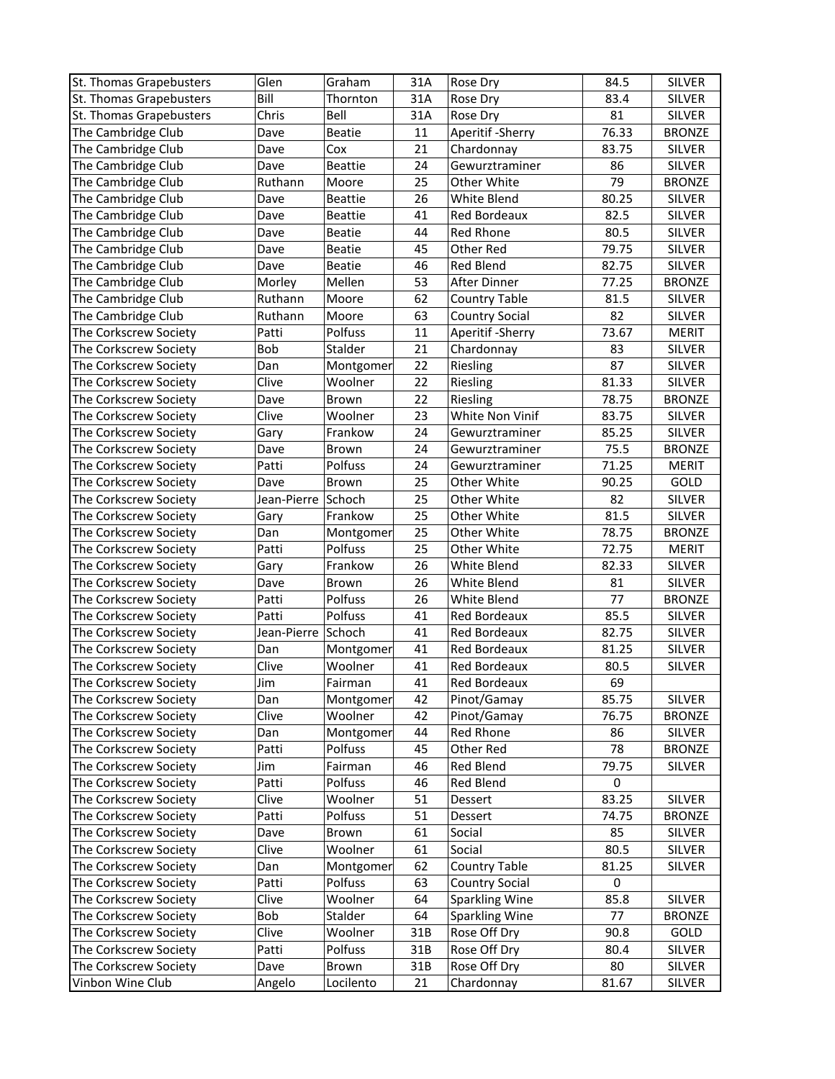| St. Thomas Grapebusters                        | Glen                 | Graham               | 31A      | Rose Dry                   | 84.5           | <b>SILVER</b>                 |
|------------------------------------------------|----------------------|----------------------|----------|----------------------------|----------------|-------------------------------|
| St. Thomas Grapebusters                        | Bill                 | Thornton             | 31A      | Rose Dry                   | 83.4           | <b>SILVER</b>                 |
| St. Thomas Grapebusters                        | Chris                | Bell                 | 31A      | Rose Dry                   | 81             | <b>SILVER</b>                 |
| The Cambridge Club                             | Dave                 | <b>Beatie</b>        | 11       | Aperitif - Sherry          | 76.33          | <b>BRONZE</b>                 |
| The Cambridge Club                             | Dave                 | Cox                  | 21       | Chardonnay                 | 83.75          | <b>SILVER</b>                 |
| The Cambridge Club                             | Dave                 | <b>Beattie</b>       | 24       | Gewurztraminer             | 86             | <b>SILVER</b>                 |
| The Cambridge Club                             | Ruthann              | Moore                | 25       | Other White                | 79             | <b>BRONZE</b>                 |
| The Cambridge Club                             | Dave                 | <b>Beattie</b>       | 26       | White Blend                | 80.25          | <b>SILVER</b>                 |
| The Cambridge Club                             | Dave                 | <b>Beattie</b>       | 41       | Red Bordeaux               | 82.5           | <b>SILVER</b>                 |
| The Cambridge Club                             | Dave                 | <b>Beatie</b>        | 44       | Red Rhone                  | 80.5           | <b>SILVER</b>                 |
| The Cambridge Club                             | Dave                 | Beatie               | 45       | Other Red                  | 79.75          | <b>SILVER</b>                 |
| The Cambridge Club                             | Dave                 | <b>Beatie</b>        | 46       | Red Blend                  | 82.75          | <b>SILVER</b>                 |
| The Cambridge Club                             | Morley               | Mellen               | 53       | After Dinner               | 77.25          | <b>BRONZE</b>                 |
| The Cambridge Club                             | Ruthann              | Moore                | 62       | <b>Country Table</b>       | 81.5           | <b>SILVER</b>                 |
| The Cambridge Club                             | Ruthann              | Moore                | 63       | <b>Country Social</b>      | 82             | SILVER                        |
| The Corkscrew Society                          | Patti                | Polfuss              | 11       | Aperitif - Sherry          | 73.67          | <b>MERIT</b>                  |
| The Corkscrew Society                          | Bob                  | Stalder              | 21       | Chardonnay                 | 83             | <b>SILVER</b>                 |
| The Corkscrew Society                          | Dan                  | Montgomer            | 22       | Riesling                   | 87             | <b>SILVER</b>                 |
| The Corkscrew Society                          | Clive                | Woolner              | 22       | Riesling                   | 81.33          | <b>SILVER</b>                 |
| The Corkscrew Society                          | Dave                 | Brown                | 22       | Riesling                   | 78.75          | <b>BRONZE</b>                 |
| The Corkscrew Society                          | Clive                | Woolner              | 23       | White Non Vinif            | 83.75          | <b>SILVER</b>                 |
| The Corkscrew Society                          | Gary                 | Frankow              | 24       | Gewurztraminer             | 85.25          | <b>SILVER</b>                 |
| The Corkscrew Society                          | Dave                 | Brown                | 24       | Gewurztraminer             | 75.5           | <b>BRONZE</b>                 |
| The Corkscrew Society                          | Patti                | Polfuss              | 24       | Gewurztraminer             | 71.25          | <b>MERIT</b>                  |
| The Corkscrew Society                          | Dave                 | Brown                | 25       | Other White                | 90.25          | GOLD                          |
|                                                | Jean-Pierre   Schoch |                      | 25       | Other White                | 82             | <b>SILVER</b>                 |
| The Corkscrew Society                          |                      | Frankow              | 25       | Other White                | 81.5           | SILVER                        |
| The Corkscrew Society                          | Gary                 |                      |          |                            |                |                               |
| The Corkscrew Society                          | Dan                  | Montgomer<br>Polfuss | 25       | Other White                | 78.75          | <b>BRONZE</b>                 |
| The Corkscrew Society<br>The Corkscrew Society | Patti                | Frankow              | 25<br>26 | Other White<br>White Blend | 72.75<br>82.33 | <b>MERIT</b><br><b>SILVER</b> |
|                                                | Gary                 |                      |          |                            |                |                               |
| The Corkscrew Society                          | Dave                 | Brown<br>Polfuss     | 26       | White Blend<br>White Blend | 81             | <b>SILVER</b>                 |
| The Corkscrew Society                          | Patti<br>Patti       | Polfuss              | 26       |                            | 77             | <b>BRONZE</b>                 |
| The Corkscrew Society                          |                      |                      | 41       | Red Bordeaux               | 85.5<br>82.75  | <b>SILVER</b>                 |
| The Corkscrew Society                          | Jean-Pierre Schoch   |                      | 41       | Red Bordeaux               |                | SILVER                        |
| The Corkscrew Society                          | Dan                  | Montgomer            | 41       | Red Bordeaux               | 81.25          | <b>SILVER</b>                 |
| The Corkscrew Society                          | Clive                | Woolner              | 41       | Red Bordeaux               | 80.5           | <b>SILVER</b>                 |
| The Corkscrew Society                          | Jim                  | Fairman              | 41       | Red Bordeaux               | 69             |                               |
| The Corkscrew Society                          | Dan                  | Montgomer            | 42       | Pinot/Gamay                | 85.75          | <b>SILVER</b>                 |
| The Corkscrew Society                          | Clive                | Woolner              | 42       | Pinot/Gamay                | 76.75          | <b>BRONZE</b>                 |
| The Corkscrew Society                          | Dan                  | Montgomer            | 44       | Red Rhone                  | 86             | SILVER                        |
| The Corkscrew Society                          | Patti                | Polfuss              | 45       | Other Red                  | 78             | <b>BRONZE</b>                 |
| The Corkscrew Society                          | Jim                  | Fairman              | 46       | Red Blend                  | 79.75          | <b>SILVER</b>                 |
| The Corkscrew Society                          | Patti                | Polfuss              | 46       | Red Blend                  | $\mathbf 0$    |                               |
| The Corkscrew Society                          | Clive                | Woolner              | 51       | Dessert                    | 83.25          | <b>SILVER</b>                 |
| The Corkscrew Society                          | Patti                | Polfuss              | 51       | Dessert                    | 74.75          | <b>BRONZE</b>                 |
| The Corkscrew Society                          | Dave                 | Brown                | 61       | Social                     | 85             | <b>SILVER</b>                 |
| The Corkscrew Society                          | Clive                | Woolner              | 61       | Social                     | 80.5           | SILVER                        |
| The Corkscrew Society                          | Dan                  | Montgomer            | 62       | <b>Country Table</b>       | 81.25          | SILVER                        |
| The Corkscrew Society                          | Patti                | Polfuss              | 63       | <b>Country Social</b>      | $\mathbf 0$    |                               |
| The Corkscrew Society                          | Clive                | Woolner              | 64       | <b>Sparkling Wine</b>      | 85.8           | <b>SILVER</b>                 |
| The Corkscrew Society                          | Bob                  | Stalder              | 64       | <b>Sparkling Wine</b>      | 77             | <b>BRONZE</b>                 |
| The Corkscrew Society                          | Clive                | Woolner              | 31B      | Rose Off Dry               | 90.8           | GOLD                          |
| The Corkscrew Society                          | Patti                | Polfuss              | 31B      | Rose Off Dry               | 80.4           | SILVER                        |
| The Corkscrew Society                          | Dave                 | Brown                | 31B      | Rose Off Dry               | 80             | <b>SILVER</b>                 |
| Vinbon Wine Club                               | Angelo               | Locilento            | 21       | Chardonnay                 | 81.67          | SILVER                        |